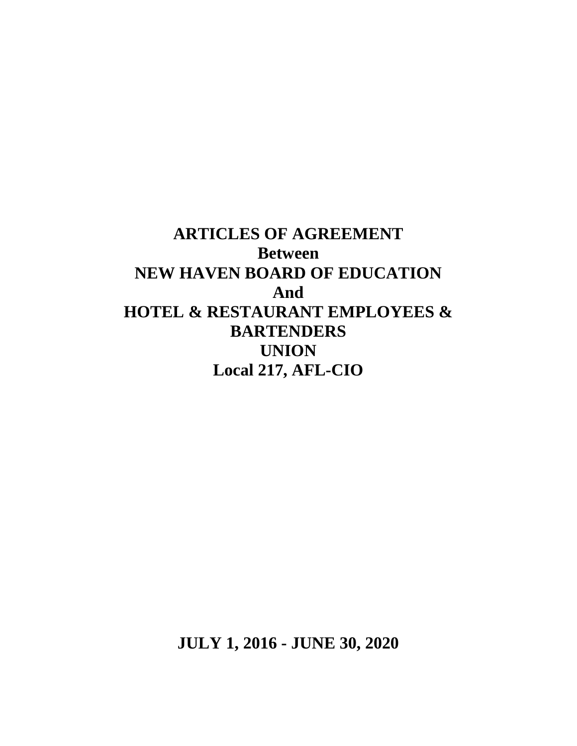**ARTICLES OF AGREEMENT Between NEW HAVEN BOARD OF EDUCATION And HOTEL & RESTAURANT EMPLOYEES & BARTENDERS UNION Local 217, AFL-CIO**

**JULY 1, 2016 - JUNE 30, 2020**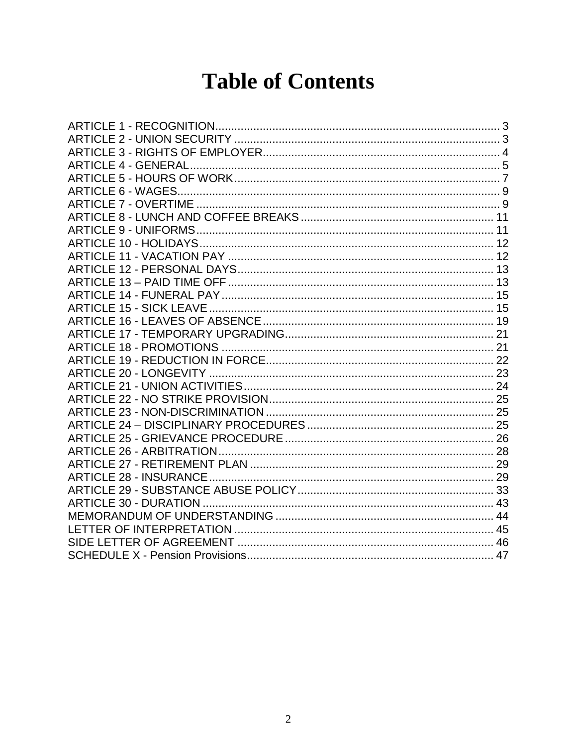# **Table of Contents**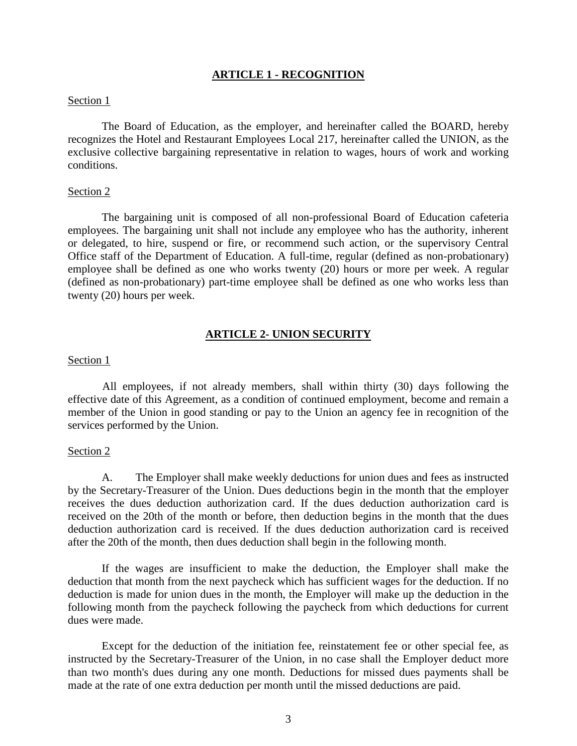# **ARTICLE 1 - RECOGNITION**

## <span id="page-2-0"></span>Section 1

The Board of Education, as the employer, and hereinafter called the BOARD, hereby recognizes the Hotel and Restaurant Employees Local 217, hereinafter called the UNION, as the exclusive collective bargaining representative in relation to wages, hours of work and working conditions.

#### Section 2

The bargaining unit is composed of all non-professional Board of Education cafeteria employees. The bargaining unit shall not include any employee who has the authority, inherent or delegated, to hire, suspend or fire, or recommend such action, or the supervisory Central Office staff of the Department of Education. A full-time, regular (defined as non-probationary) employee shall be defined as one who works twenty (20) hours or more per week. A regular (defined as non-probationary) part-time employee shall be defined as one who works less than twenty (20) hours per week.

## **ARTICLE 2- UNION SECURITY**

#### <span id="page-2-1"></span>Section 1

All employees, if not already members, shall within thirty (30) days following the effective date of this Agreement, as a condition of continued employment, become and remain a member of the Union in good standing or pay to the Union an agency fee in recognition of the services performed by the Union.

## Section 2

A. The Employer shall make weekly deductions for union dues and fees as instructed by the Secretary-Treasurer of the Union. Dues deductions begin in the month that the employer receives the dues deduction authorization card. If the dues deduction authorization card is received on the 20th of the month or before, then deduction begins in the month that the dues deduction authorization card is received. If the dues deduction authorization card is received after the 20th of the month, then dues deduction shall begin in the following month.

If the wages are insufficient to make the deduction, the Employer shall make the deduction that month from the next paycheck which has sufficient wages for the deduction. If no deduction is made for union dues in the month, the Employer will make up the deduction in the following month from the paycheck following the paycheck from which deductions for current dues were made.

Except for the deduction of the initiation fee, reinstatement fee or other special fee, as instructed by the Secretary-Treasurer of the Union, in no case shall the Employer deduct more than two month's dues during any one month. Deductions for missed dues payments shall be made at the rate of one extra deduction per month until the missed deductions are paid.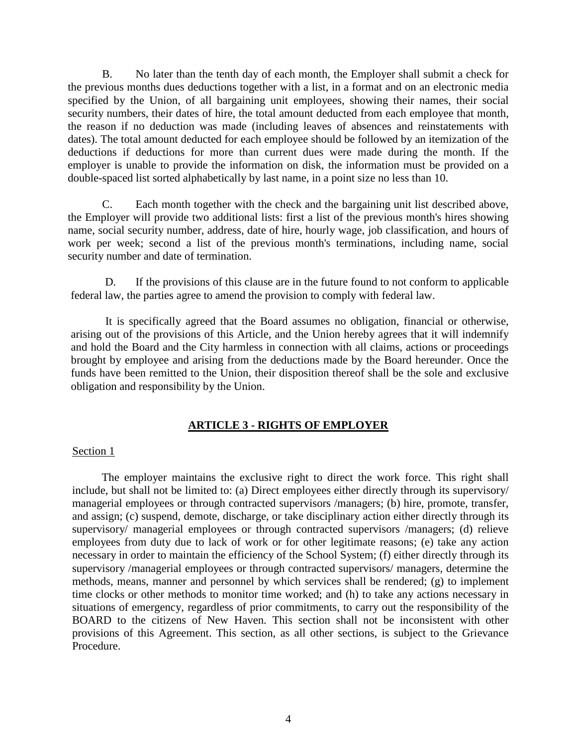B. No later than the tenth day of each month, the Employer shall submit a check for the previous months dues deductions together with a list, in a format and on an electronic media specified by the Union, of all bargaining unit employees, showing their names, their social security numbers, their dates of hire, the total amount deducted from each employee that month, the reason if no deduction was made (including leaves of absences and reinstatements with dates). The total amount deducted for each employee should be followed by an itemization of the deductions if deductions for more than current dues were made during the month. If the employer is unable to provide the information on disk, the information must be provided on a double-spaced list sorted alphabetically by last name, in a point size no less than 10.

C. Each month together with the check and the bargaining unit list described above, the Employer will provide two additional lists: first a list of the previous month's hires showing name, social security number, address, date of hire, hourly wage, job classification, and hours of work per week; second a list of the previous month's terminations, including name, social security number and date of termination.

D. If the provisions of this clause are in the future found to not conform to applicable federal law, the parties agree to amend the provision to comply with federal law.

It is specifically agreed that the Board assumes no obligation, financial or otherwise, arising out of the provisions of this Article, and the Union hereby agrees that it will indemnify and hold the Board and the City harmless in connection with all claims, actions or proceedings brought by employee and arising from the deductions made by the Board hereunder. Once the funds have been remitted to the Union, their disposition thereof shall be the sole and exclusive obligation and responsibility by the Union.

# **ARTICLE 3 - RIGHTS OF EMPLOYER**

# <span id="page-3-0"></span>Section 1

The employer maintains the exclusive right to direct the work force. This right shall include, but shall not be limited to: (a) Direct employees either directly through its supervisory/ managerial employees or through contracted supervisors /managers; (b) hire, promote, transfer, and assign; (c) suspend, demote, discharge, or take disciplinary action either directly through its supervisory/ managerial employees or through contracted supervisors /managers; (d) relieve employees from duty due to lack of work or for other legitimate reasons; (e) take any action necessary in order to maintain the efficiency of the School System; (f) either directly through its supervisory /managerial employees or through contracted supervisors/ managers, determine the methods, means, manner and personnel by which services shall be rendered; (g) to implement time clocks or other methods to monitor time worked; and (h) to take any actions necessary in situations of emergency, regardless of prior commitments, to carry out the responsibility of the BOARD to the citizens of New Haven. This section shall not be inconsistent with other provisions of this Agreement. This section, as all other sections, is subject to the Grievance Procedure.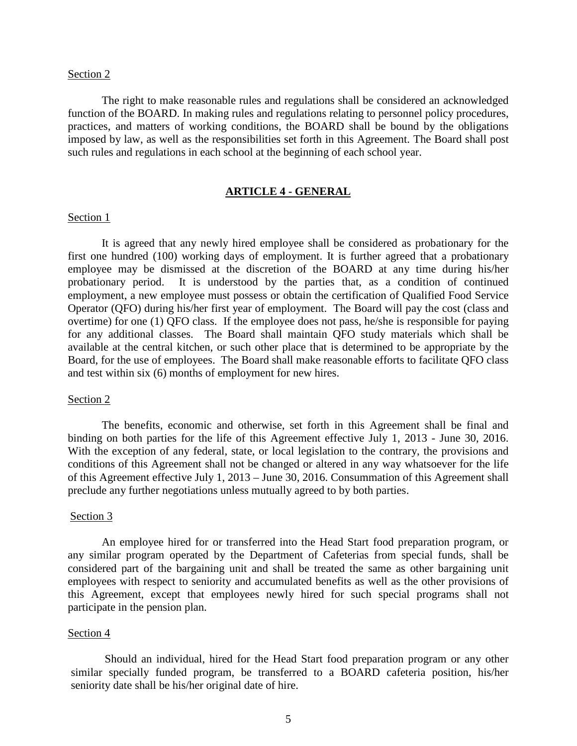The right to make reasonable rules and regulations shall be considered an acknowledged function of the BOARD. In making rules and regulations relating to personnel policy procedures, practices, and matters of working conditions, the BOARD shall be bound by the obligations imposed by law, as well as the responsibilities set forth in this Agreement. The Board shall post such rules and regulations in each school at the beginning of each school year.

# **ARTICLE 4 - GENERAL**

#### <span id="page-4-0"></span>Section 1

It is agreed that any newly hired employee shall be considered as probationary for the first one hundred (100) working days of employment. It is further agreed that a probationary employee may be dismissed at the discretion of the BOARD at any time during his/her probationary period. It is understood by the parties that, as a condition of continued employment, a new employee must possess or obtain the certification of Qualified Food Service Operator (QFO) during his/her first year of employment. The Board will pay the cost (class and overtime) for one (1) QFO class. If the employee does not pass, he/she is responsible for paying for any additional classes. The Board shall maintain QFO study materials which shall be available at the central kitchen, or such other place that is determined to be appropriate by the Board, for the use of employees. The Board shall make reasonable efforts to facilitate QFO class and test within six (6) months of employment for new hires.

## Section 2

The benefits, economic and otherwise, set forth in this Agreement shall be final and binding on both parties for the life of this Agreement effective July 1, 2013 - June 30, 2016. With the exception of any federal, state, or local legislation to the contrary, the provisions and conditions of this Agreement shall not be changed or altered in any way whatsoever for the life of this Agreement effective July 1, 2013 – June 30, 2016. Consummation of this Agreement shall preclude any further negotiations unless mutually agreed to by both parties.

#### Section 3

An employee hired for or transferred into the Head Start food preparation program, or any similar program operated by the Department of Cafeterias from special funds, shall be considered part of the bargaining unit and shall be treated the same as other bargaining unit employees with respect to seniority and accumulated benefits as well as the other provisions of this Agreement, except that employees newly hired for such special programs shall not participate in the pension plan.

#### Section 4

Should an individual, hired for the Head Start food preparation program or any other similar specially funded program, be transferred to a BOARD cafeteria position, his/her seniority date shall be his/her original date of hire.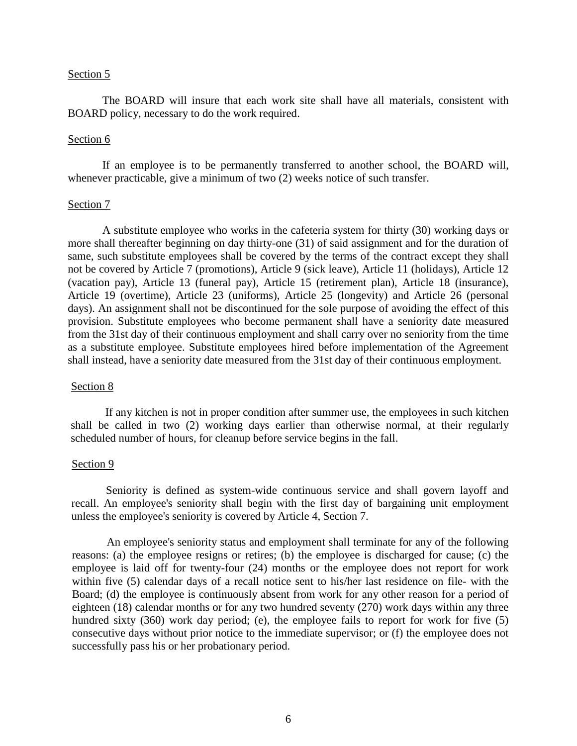The BOARD will insure that each work site shall have all materials, consistent with BOARD policy, necessary to do the work required.

## Section 6

If an employee is to be permanently transferred to another school, the BOARD will, whenever practicable, give a minimum of two (2) weeks notice of such transfer.

## Section 7

A substitute employee who works in the cafeteria system for thirty (30) working days or more shall thereafter beginning on day thirty-one (31) of said assignment and for the duration of same, such substitute employees shall be covered by the terms of the contract except they shall not be covered by Article 7 (promotions), Article 9 (sick leave), Article 11 (holidays), Article 12 (vacation pay), Article 13 (funeral pay), Article 15 (retirement plan), Article 18 (insurance), Article 19 (overtime), Article 23 (uniforms), Article 25 (longevity) and Article 26 (personal days). An assignment shall not be discontinued for the sole purpose of avoiding the effect of this provision. Substitute employees who become permanent shall have a seniority date measured from the 31st day of their continuous employment and shall carry over no seniority from the time as a substitute employee. Substitute employees hired before implementation of the Agreement shall instead, have a seniority date measured from the 31st day of their continuous employment.

#### Section 8

If any kitchen is not in proper condition after summer use, the employees in such kitchen shall be called in two (2) working days earlier than otherwise normal, at their regularly scheduled number of hours, for cleanup before service begins in the fall.

## Section 9

Seniority is defined as system-wide continuous service and shall govern layoff and recall. An employee's seniority shall begin with the first day of bargaining unit employment unless the employee's seniority is covered by Article 4, Section 7.

An employee's seniority status and employment shall terminate for any of the following reasons: (a) the employee resigns or retires; (b) the employee is discharged for cause; (c) the employee is laid off for twenty-four (24) months or the employee does not report for work within five (5) calendar days of a recall notice sent to his/her last residence on file- with the Board; (d) the employee is continuously absent from work for any other reason for a period of eighteen (18) calendar months or for any two hundred seventy (270) work days within any three hundred sixty (360) work day period; (e), the employee fails to report for work for five (5) consecutive days without prior notice to the immediate supervisor; or (f) the employee does not successfully pass his or her probationary period.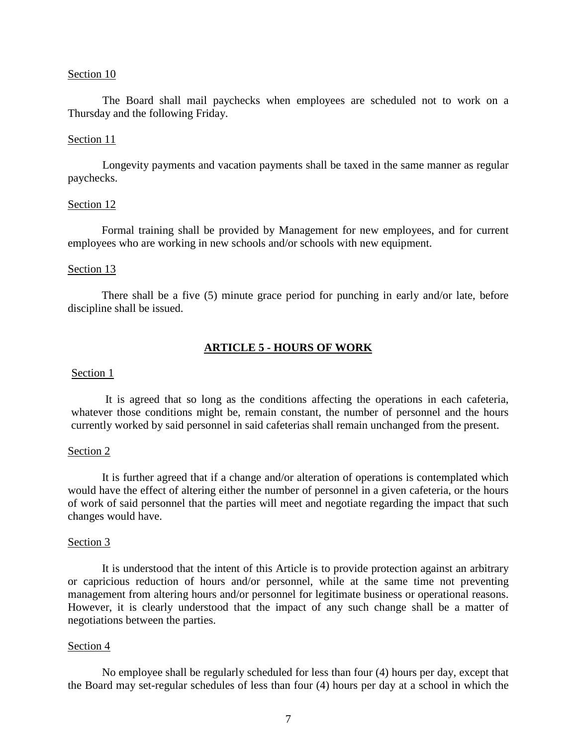The Board shall mail paychecks when employees are scheduled not to work on a Thursday and the following Friday.

## Section 11

Longevity payments and vacation payments shall be taxed in the same manner as regular paychecks.

#### Section 12

Formal training shall be provided by Management for new employees, and for current employees who are working in new schools and/or schools with new equipment.

## Section 13

There shall be a five (5) minute grace period for punching in early and/or late, before discipline shall be issued.

# **ARTICLE 5 - HOURS OF WORK**

## <span id="page-6-0"></span>Section 1

It is agreed that so long as the conditions affecting the operations in each cafeteria, whatever those conditions might be, remain constant, the number of personnel and the hours currently worked by said personnel in said cafeterias shall remain unchanged from the present.

# Section 2

It is further agreed that if a change and/or alteration of operations is contemplated which would have the effect of altering either the number of personnel in a given cafeteria, or the hours of work of said personnel that the parties will meet and negotiate regarding the impact that such changes would have.

#### Section 3

It is understood that the intent of this Article is to provide protection against an arbitrary or capricious reduction of hours and/or personnel, while at the same time not preventing management from altering hours and/or personnel for legitimate business or operational reasons. However, it is clearly understood that the impact of any such change shall be a matter of negotiations between the parties.

## Section 4

No employee shall be regularly scheduled for less than four (4) hours per day, except that the Board may set-regular schedules of less than four (4) hours per day at a school in which the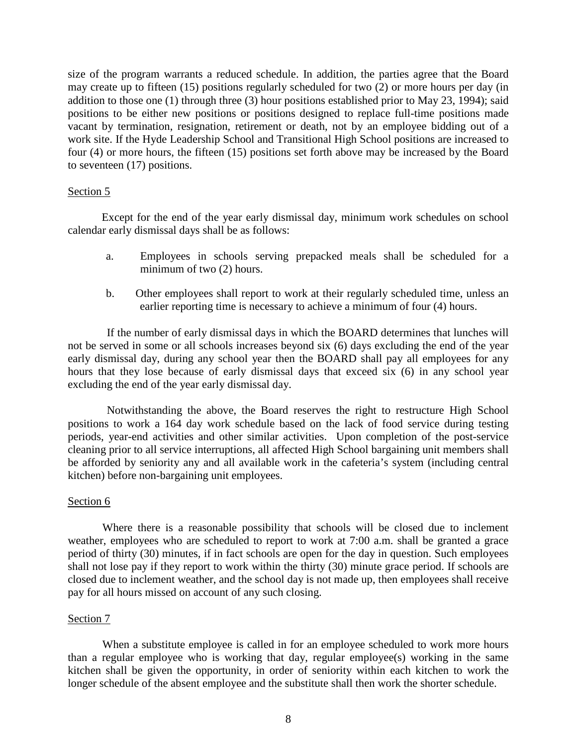size of the program warrants a reduced schedule. In addition, the parties agree that the Board may create up to fifteen (15) positions regularly scheduled for two (2) or more hours per day (in addition to those one (1) through three (3) hour positions established prior to May 23, 1994); said positions to be either new positions or positions designed to replace full-time positions made vacant by termination, resignation, retirement or death, not by an employee bidding out of a work site. If the Hyde Leadership School and Transitional High School positions are increased to four (4) or more hours, the fifteen (15) positions set forth above may be increased by the Board to seventeen (17) positions.

# Section 5

Except for the end of the year early dismissal day, minimum work schedules on school calendar early dismissal days shall be as follows:

- a. Employees in schools serving prepacked meals shall be scheduled for a minimum of two (2) hours.
- b. Other employees shall report to work at their regularly scheduled time, unless an earlier reporting time is necessary to achieve a minimum of four (4) hours.

If the number of early dismissal days in which the BOARD determines that lunches will not be served in some or all schools increases beyond six (6) days excluding the end of the year early dismissal day, during any school year then the BOARD shall pay all employees for any hours that they lose because of early dismissal days that exceed six (6) in any school year excluding the end of the year early dismissal day.

Notwithstanding the above, the Board reserves the right to restructure High School positions to work a 164 day work schedule based on the lack of food service during testing periods, year-end activities and other similar activities. Upon completion of the post-service cleaning prior to all service interruptions, all affected High School bargaining unit members shall be afforded by seniority any and all available work in the cafeteria's system (including central kitchen) before non-bargaining unit employees.

# Section 6

Where there is a reasonable possibility that schools will be closed due to inclement weather, employees who are scheduled to report to work at 7:00 a.m. shall be granted a grace period of thirty (30) minutes, if in fact schools are open for the day in question. Such employees shall not lose pay if they report to work within the thirty (30) minute grace period. If schools are closed due to inclement weather, and the school day is not made up, then employees shall receive pay for all hours missed on account of any such closing.

# Section 7

When a substitute employee is called in for an employee scheduled to work more hours than a regular employee who is working that day, regular employee(s) working in the same kitchen shall be given the opportunity, in order of seniority within each kitchen to work the longer schedule of the absent employee and the substitute shall then work the shorter schedule.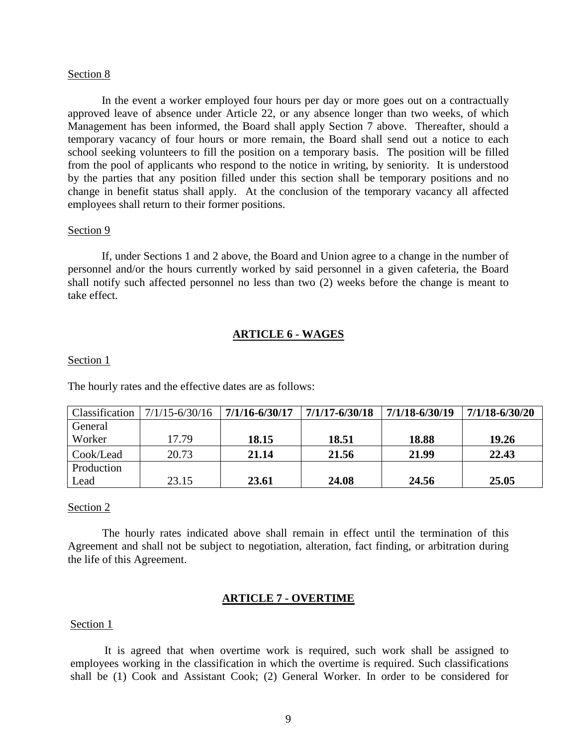In the event a worker employed four hours per day or more goes out on a contractually approved leave of absence under Article 22, or any absence longer than two weeks, of which Management has been informed, the Board shall apply Section 7 above. Thereafter, should a temporary vacancy of four hours or more remain, the Board shall send out a notice to each school seeking volunteers to fill the position on a temporary basis. The position will be filled from the pool of applicants who respond to the notice in writing, by seniority. It is understood by the parties that any position filled under this section shall be temporary positions and no change in benefit status shall apply. At the conclusion of the temporary vacancy all affected employees shall return to their former positions.

#### Section 9

If, under Sections 1 and 2 above, the Board and Union agree to a change in the number of personnel and/or the hours currently worked by said personnel in a given cafeteria, the Board shall notify such affected personnel no less than two (2) weeks before the change is meant to take effect.

## **ARTICLE 6 - WAGES**

#### <span id="page-8-0"></span>Section 1

The hourly rates and the effective dates are as follows:

| Classification | $7/1/15 - 6/30/16$ | 7/1/16-6/30/17 | 7/1/17-6/30/18 | $7/1/18 - 6/30/19$ | 7/1/18-6/30/20 |
|----------------|--------------------|----------------|----------------|--------------------|----------------|
| General        |                    |                |                |                    |                |
| Worker         | 17.79              | 18.15          | 18.51          | 18.88              | 19.26          |
| Cook/Lead      | 20.73              | 21.14          | 21.56          | 21.99              | 22.43          |
| Production     |                    |                |                |                    |                |
| Lead           | 23.15              | 23.61          | 24.08          | 24.56              | 25.05          |

## Section 2

The hourly rates indicated above shall remain in effect until the termination of this Agreement and shall not be subject to negotiation, alteration, fact finding, or arbitration during the life of this Agreement.

# **ARTICLE 7 - OVERTIME**

#### <span id="page-8-1"></span>Section 1

It is agreed that when overtime work is required, such work shall be assigned to employees working in the classification in which the overtime is required. Such classifications shall be (1) Cook and Assistant Cook; (2) General Worker. In order to be considered for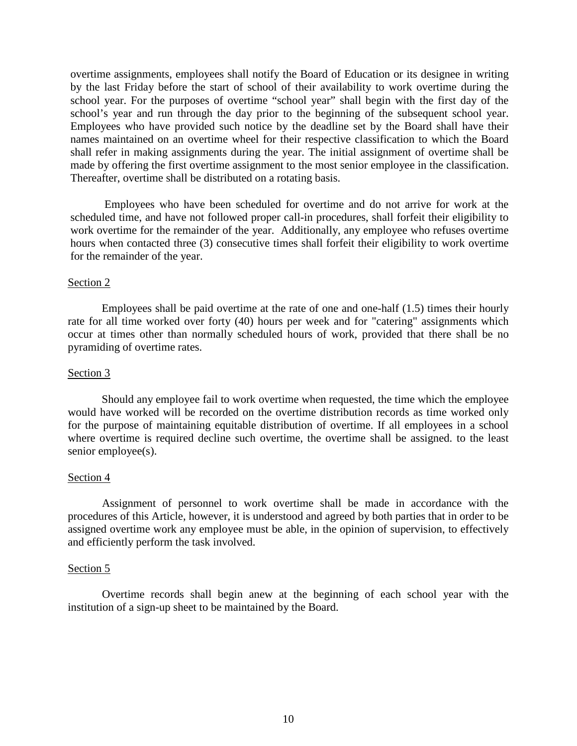overtime assignments, employees shall notify the Board of Education or its designee in writing by the last Friday before the start of school of their availability to work overtime during the school year. For the purposes of overtime "school year" shall begin with the first day of the school's year and run through the day prior to the beginning of the subsequent school year. Employees who have provided such notice by the deadline set by the Board shall have their names maintained on an overtime wheel for their respective classification to which the Board shall refer in making assignments during the year. The initial assignment of overtime shall be made by offering the first overtime assignment to the most senior employee in the classification. Thereafter, overtime shall be distributed on a rotating basis.

Employees who have been scheduled for overtime and do not arrive for work at the scheduled time, and have not followed proper call-in procedures, shall forfeit their eligibility to work overtime for the remainder of the year. Additionally, any employee who refuses overtime hours when contacted three (3) consecutive times shall forfeit their eligibility to work overtime for the remainder of the year.

# Section 2

Employees shall be paid overtime at the rate of one and one-half (1.5) times their hourly rate for all time worked over forty (40) hours per week and for "catering" assignments which occur at times other than normally scheduled hours of work, provided that there shall be no pyramiding of overtime rates.

# Section 3

Should any employee fail to work overtime when requested, the time which the employee would have worked will be recorded on the overtime distribution records as time worked only for the purpose of maintaining equitable distribution of overtime. If all employees in a school where overtime is required decline such overtime, the overtime shall be assigned. to the least senior employee(s).

# Section 4

Assignment of personnel to work overtime shall be made in accordance with the procedures of this Article, however, it is understood and agreed by both parties that in order to be assigned overtime work any employee must be able, in the opinion of supervision, to effectively and efficiently perform the task involved.

# Section 5

<span id="page-9-0"></span>Overtime records shall begin anew at the beginning of each school year with the institution of a sign-up sheet to be maintained by the Board.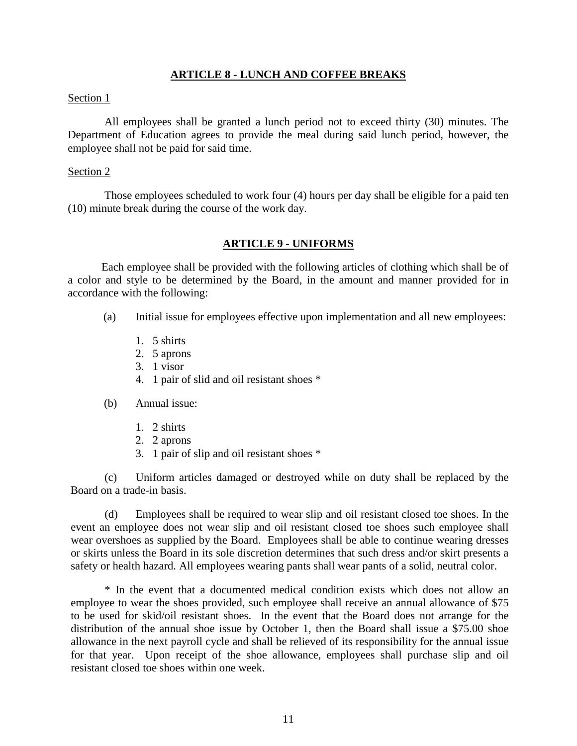# **ARTICLE 8 - LUNCH AND COFFEE BREAKS**

## Section 1

All employees shall be granted a lunch period not to exceed thirty (30) minutes. The Department of Education agrees to provide the meal during said lunch period, however, the employee shall not be paid for said time.

## Section 2

Those employees scheduled to work four (4) hours per day shall be eligible for a paid ten (10) minute break during the course of the work day.

# **ARTICLE 9 - UNIFORMS**

<span id="page-10-0"></span>Each employee shall be provided with the following articles of clothing which shall be of a color and style to be determined by the Board, in the amount and manner provided for in accordance with the following:

- (a) Initial issue for employees effective upon implementation and all new employees:
	- 1. 5 shirts
	- 2. 5 aprons
	- 3. 1 visor
	- 4. 1 pair of slid and oil resistant shoes \*
- (b) Annual issue:
	- 1. 2 shirts
	- 2. 2 aprons
	- 3. 1 pair of slip and oil resistant shoes \*

(c) Uniform articles damaged or destroyed while on duty shall be replaced by the Board on a trade-in basis.

(d) Employees shall be required to wear slip and oil resistant closed toe shoes. In the event an employee does not wear slip and oil resistant closed toe shoes such employee shall wear overshoes as supplied by the Board. Employees shall be able to continue wearing dresses or skirts unless the Board in its sole discretion determines that such dress and/or skirt presents a safety or health hazard. All employees wearing pants shall wear pants of a solid, neutral color.

\* In the event that a documented medical condition exists which does not allow an employee to wear the shoes provided, such employee shall receive an annual allowance of \$75 to be used for skid/oil resistant shoes. In the event that the Board does not arrange for the distribution of the annual shoe issue by October 1, then the Board shall issue a \$75.00 shoe allowance in the next payroll cycle and shall be relieved of its responsibility for the annual issue for that year. Upon receipt of the shoe allowance, employees shall purchase slip and oil resistant closed toe shoes within one week.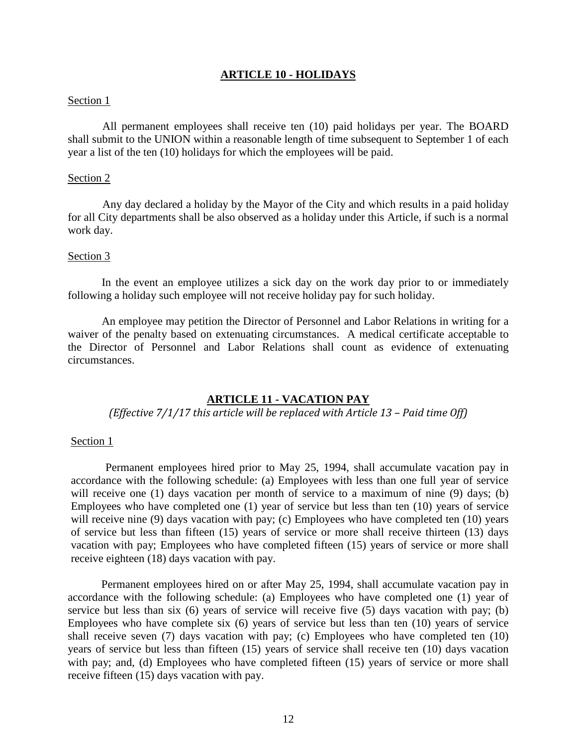## **ARTICLE 10 - HOLIDAYS**

## <span id="page-11-0"></span>Section 1

All permanent employees shall receive ten (10) paid holidays per year. The BOARD shall submit to the UNION within a reasonable length of time subsequent to September 1 of each year a list of the ten (10) holidays for which the employees will be paid.

## Section 2

Any day declared a holiday by the Mayor of the City and which results in a paid holiday for all City departments shall be also observed as a holiday under this Article, if such is a normal work day.

## Section 3

In the event an employee utilizes a sick day on the work day prior to or immediately following a holiday such employee will not receive holiday pay for such holiday.

An employee may petition the Director of Personnel and Labor Relations in writing for a waiver of the penalty based on extenuating circumstances. A medical certificate acceptable to the Director of Personnel and Labor Relations shall count as evidence of extenuating circumstances.

## **ARTICLE 11 - VACATION PAY**

# <span id="page-11-1"></span>*(Effective 7/1/17 this article will be replaced with Article 13 – Paid time Off)*

#### Section 1

Permanent employees hired prior to May 25, 1994, shall accumulate vacation pay in accordance with the following schedule: (a) Employees with less than one full year of service will receive one (1) days vacation per month of service to a maximum of nine (9) days; (b) Employees who have completed one (1) year of service but less than ten (10) years of service will receive nine (9) days vacation with pay; (c) Employees who have completed ten (10) years of service but less than fifteen (15) years of service or more shall receive thirteen (13) days vacation with pay; Employees who have completed fifteen (15) years of service or more shall receive eighteen (18) days vacation with pay.

Permanent employees hired on or after May 25, 1994, shall accumulate vacation pay in accordance with the following schedule: (a) Employees who have completed one (1) year of service but less than six (6) years of service will receive five (5) days vacation with pay; (b) Employees who have complete six (6) years of service but less than ten (10) years of service shall receive seven (7) days vacation with pay; (c) Employees who have completed ten (10) years of service but less than fifteen (15) years of service shall receive ten (10) days vacation with pay; and, (d) Employees who have completed fifteen (15) years of service or more shall receive fifteen (15) days vacation with pay.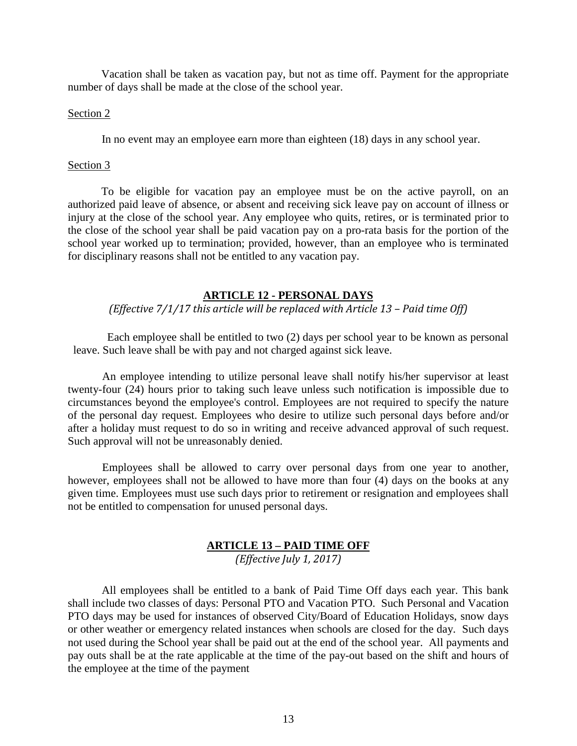Vacation shall be taken as vacation pay, but not as time off. Payment for the appropriate number of days shall be made at the close of the school year.

# Section 2

In no event may an employee earn more than eighteen (18) days in any school year.

# Section 3

To be eligible for vacation pay an employee must be on the active payroll, on an authorized paid leave of absence, or absent and receiving sick leave pay on account of illness or injury at the close of the school year. Any employee who quits, retires, or is terminated prior to the close of the school year shall be paid vacation pay on a pro-rata basis for the portion of the school year worked up to termination; provided, however, than an employee who is terminated for disciplinary reasons shall not be entitled to any vacation pay.

# **ARTICLE 12 - PERSONAL DAYS**

<span id="page-12-0"></span>*(Effective 7/1/17 this article will be replaced with Article 13 – Paid time Off)*

Each employee shall be entitled to two (2) days per school year to be known as personal leave. Such leave shall be with pay and not charged against sick leave.

An employee intending to utilize personal leave shall notify his/her supervisor at least twenty-four (24) hours prior to taking such leave unless such notification is impossible due to circumstances beyond the employee's control. Employees are not required to specify the nature of the personal day request. Employees who desire to utilize such personal days before and/or after a holiday must request to do so in writing and receive advanced approval of such request. Such approval will not be unreasonably denied.

Employees shall be allowed to carry over personal days from one year to another, however, employees shall not be allowed to have more than four (4) days on the books at any given time. Employees must use such days prior to retirement or resignation and employees shall not be entitled to compensation for unused personal days.

# **ARTICLE 13 – PAID TIME OFF** *(Effective July 1, 2017)*

<span id="page-12-1"></span>All employees shall be entitled to a bank of Paid Time Off days each year. This bank shall include two classes of days: Personal PTO and Vacation PTO. Such Personal and Vacation PTO days may be used for instances of observed City/Board of Education Holidays, snow days or other weather or emergency related instances when schools are closed for the day. Such days not used during the School year shall be paid out at the end of the school year. All payments and pay outs shall be at the rate applicable at the time of the pay-out based on the shift and hours of the employee at the time of the payment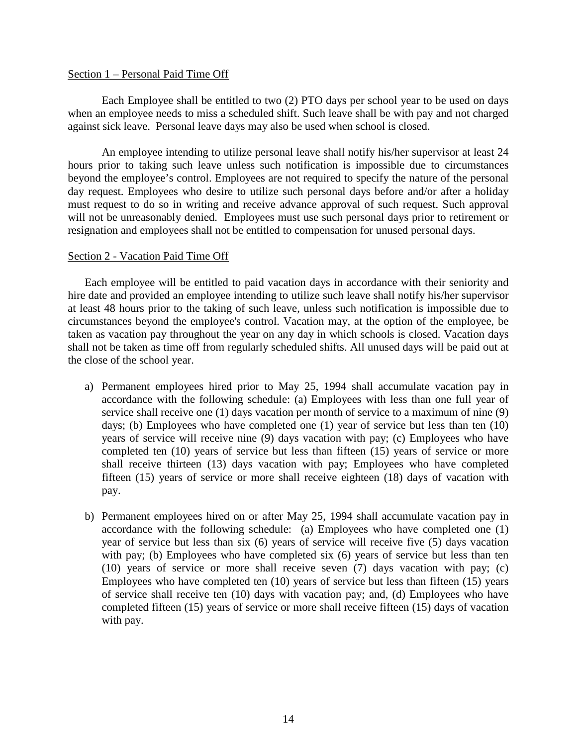## Section 1 – Personal Paid Time Off

Each Employee shall be entitled to two (2) PTO days per school year to be used on days when an employee needs to miss a scheduled shift. Such leave shall be with pay and not charged against sick leave. Personal leave days may also be used when school is closed.

An employee intending to utilize personal leave shall notify his/her supervisor at least 24 hours prior to taking such leave unless such notification is impossible due to circumstances beyond the employee's control. Employees are not required to specify the nature of the personal day request. Employees who desire to utilize such personal days before and/or after a holiday must request to do so in writing and receive advance approval of such request. Such approval will not be unreasonably denied. Employees must use such personal days prior to retirement or resignation and employees shall not be entitled to compensation for unused personal days.

# Section 2 - Vacation Paid Time Off

Each employee will be entitled to paid vacation days in accordance with their seniority and hire date and provided an employee intending to utilize such leave shall notify his/her supervisor at least 48 hours prior to the taking of such leave, unless such notification is impossible due to circumstances beyond the employee's control. Vacation may, at the option of the employee, be taken as vacation pay throughout the year on any day in which schools is closed. Vacation days shall not be taken as time off from regularly scheduled shifts. All unused days will be paid out at the close of the school year.

- a) Permanent employees hired prior to May 25, 1994 shall accumulate vacation pay in accordance with the following schedule: (a) Employees with less than one full year of service shall receive one (1) days vacation per month of service to a maximum of nine (9) days; (b) Employees who have completed one (1) year of service but less than ten (10) years of service will receive nine (9) days vacation with pay; (c) Employees who have completed ten (10) years of service but less than fifteen (15) years of service or more shall receive thirteen (13) days vacation with pay; Employees who have completed fifteen (15) years of service or more shall receive eighteen (18) days of vacation with pay.
- b) Permanent employees hired on or after May 25, 1994 shall accumulate vacation pay in accordance with the following schedule: (a) Employees who have completed one (1) year of service but less than six (6) years of service will receive five (5) days vacation with pay; (b) Employees who have completed six (6) years of service but less than ten (10) years of service or more shall receive seven (7) days vacation with pay; (c) Employees who have completed ten (10) years of service but less than fifteen (15) years of service shall receive ten (10) days with vacation pay; and, (d) Employees who have completed fifteen (15) years of service or more shall receive fifteen (15) days of vacation with pay.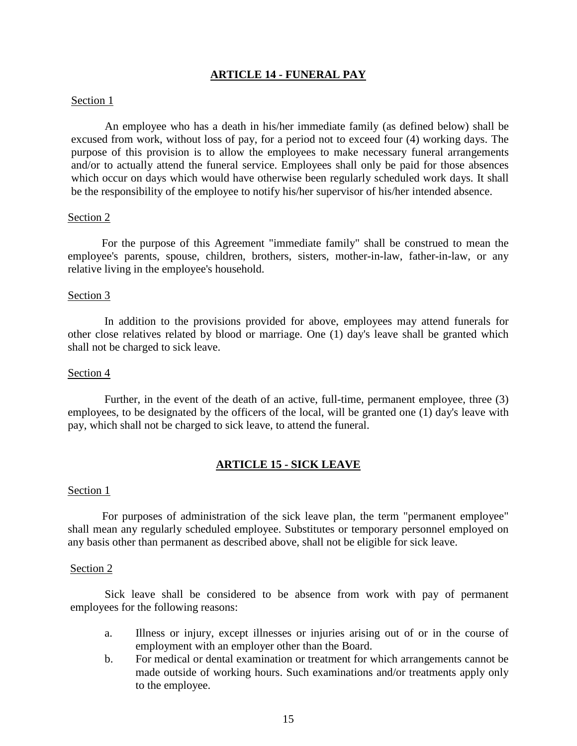# **ARTICLE 14 - FUNERAL PAY**

## <span id="page-14-0"></span>Section 1

An employee who has a death in his/her immediate family (as defined below) shall be excused from work, without loss of pay, for a period not to exceed four (4) working days. The purpose of this provision is to allow the employees to make necessary funeral arrangements and/or to actually attend the funeral service. Employees shall only be paid for those absences which occur on days which would have otherwise been regularly scheduled work days. It shall be the responsibility of the employee to notify his/her supervisor of his/her intended absence.

## Section 2

For the purpose of this Agreement "immediate family" shall be construed to mean the employee's parents, spouse, children, brothers, sisters, mother-in-law, father-in-law, or any relative living in the employee's household.

## Section 3

In addition to the provisions provided for above, employees may attend funerals for other close relatives related by blood or marriage. One (1) day's leave shall be granted which shall not be charged to sick leave.

## Section 4

Further, in the event of the death of an active, full-time, permanent employee, three (3) employees, to be designated by the officers of the local, will be granted one (1) day's leave with pay, which shall not be charged to sick leave, to attend the funeral.

# **ARTICLE 15 - SICK LEAVE**

#### <span id="page-14-1"></span>Section 1

For purposes of administration of the sick leave plan, the term "permanent employee" shall mean any regularly scheduled employee. Substitutes or temporary personnel employed on any basis other than permanent as described above, shall not be eligible for sick leave.

#### Section 2

Sick leave shall be considered to be absence from work with pay of permanent employees for the following reasons:

- a. Illness or injury, except illnesses or injuries arising out of or in the course of employment with an employer other than the Board.
- b. For medical or dental examination or treatment for which arrangements cannot be made outside of working hours. Such examinations and/or treatments apply only to the employee.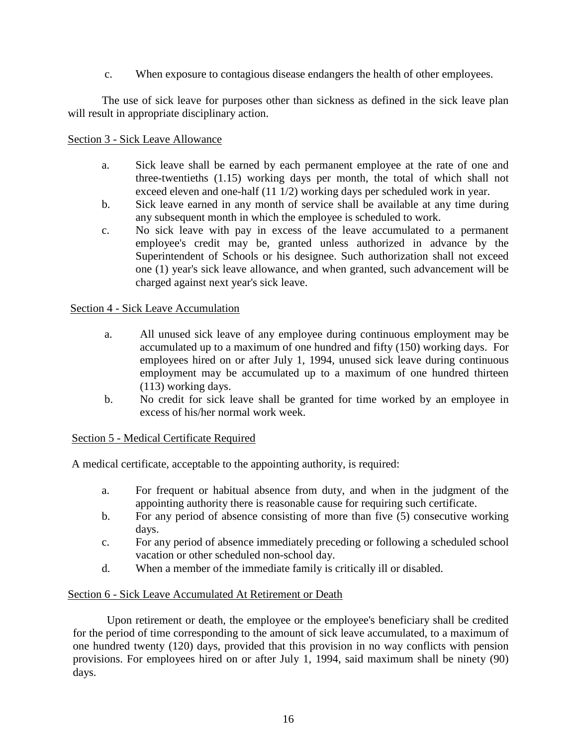c. When exposure to contagious disease endangers the health of other employees.

The use of sick leave for purposes other than sickness as defined in the sick leave plan will result in appropriate disciplinary action.

# Section 3 - Sick Leave Allowance

- a. Sick leave shall be earned by each permanent employee at the rate of one and three-twentieths (1.15) working days per month, the total of which shall not exceed eleven and one-half (11 1/2) working days per scheduled work in year.
- b. Sick leave earned in any month of service shall be available at any time during any subsequent month in which the employee is scheduled to work.
- c. No sick leave with pay in excess of the leave accumulated to a permanent employee's credit may be, granted unless authorized in advance by the Superintendent of Schools or his designee. Such authorization shall not exceed one (1) year's sick leave allowance, and when granted, such advancement will be charged against next year's sick leave.

# Section 4 - Sick Leave Accumulation

- a. All unused sick leave of any employee during continuous employment may be accumulated up to a maximum of one hundred and fifty (150) working days. For employees hired on or after July 1, 1994, unused sick leave during continuous employment may be accumulated up to a maximum of one hundred thirteen (113) working days.
- b. No credit for sick leave shall be granted for time worked by an employee in excess of his/her normal work week.

# Section 5 - Medical Certificate Required

A medical certificate, acceptable to the appointing authority, is required:

- a. For frequent or habitual absence from duty, and when in the judgment of the appointing authority there is reasonable cause for requiring such certificate.
- b. For any period of absence consisting of more than five (5) consecutive working days.
- c. For any period of absence immediately preceding or following a scheduled school vacation or other scheduled non-school day.
- d. When a member of the immediate family is critically ill or disabled.

# Section 6 - Sick Leave Accumulated At Retirement or Death

Upon retirement or death, the employee or the employee's beneficiary shall be credited for the period of time corresponding to the amount of sick leave accumulated, to a maximum of one hundred twenty (120) days, provided that this provision in no way conflicts with pension provisions. For employees hired on or after July 1, 1994, said maximum shall be ninety (90) days.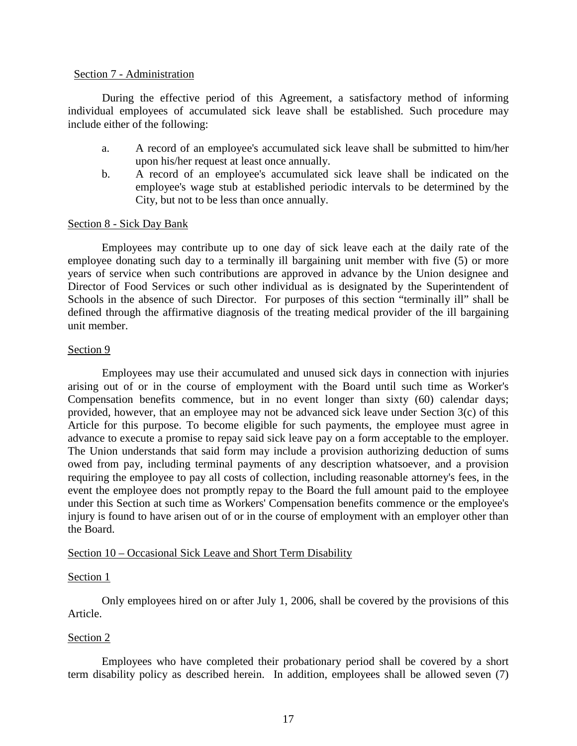## Section 7 - Administration

During the effective period of this Agreement, a satisfactory method of informing individual employees of accumulated sick leave shall be established. Such procedure may include either of the following:

- a. A record of an employee's accumulated sick leave shall be submitted to him/her upon his/her request at least once annually.
- b. A record of an employee's accumulated sick leave shall be indicated on the employee's wage stub at established periodic intervals to be determined by the City, but not to be less than once annually.

# Section 8 - Sick Day Bank

Employees may contribute up to one day of sick leave each at the daily rate of the employee donating such day to a terminally ill bargaining unit member with five (5) or more years of service when such contributions are approved in advance by the Union designee and Director of Food Services or such other individual as is designated by the Superintendent of Schools in the absence of such Director. For purposes of this section "terminally ill" shall be defined through the affirmative diagnosis of the treating medical provider of the ill bargaining unit member.

# Section 9

Employees may use their accumulated and unused sick days in connection with injuries arising out of or in the course of employment with the Board until such time as Worker's Compensation benefits commence, but in no event longer than sixty (60) calendar days; provided, however, that an employee may not be advanced sick leave under Section 3(c) of this Article for this purpose. To become eligible for such payments, the employee must agree in advance to execute a promise to repay said sick leave pay on a form acceptable to the employer. The Union understands that said form may include a provision authorizing deduction of sums owed from pay, including terminal payments of any description whatsoever, and a provision requiring the employee to pay all costs of collection, including reasonable attorney's fees, in the event the employee does not promptly repay to the Board the full amount paid to the employee under this Section at such time as Workers' Compensation benefits commence or the employee's injury is found to have arisen out of or in the course of employment with an employer other than the Board.

# Section 10 – Occasional Sick Leave and Short Term Disability

# Section 1

Only employees hired on or after July 1, 2006, shall be covered by the provisions of this Article.

# Section 2

Employees who have completed their probationary period shall be covered by a short term disability policy as described herein. In addition, employees shall be allowed seven (7)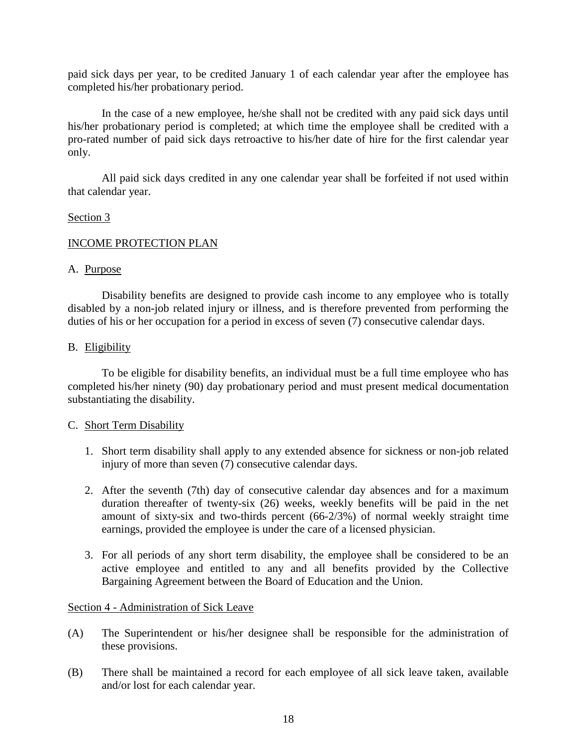paid sick days per year, to be credited January 1 of each calendar year after the employee has completed his/her probationary period.

 In the case of a new employee, he/she shall not be credited with any paid sick days until his/her probationary period is completed; at which time the employee shall be credited with a pro-rated number of paid sick days retroactive to his/her date of hire for the first calendar year only.

All paid sick days credited in any one calendar year shall be forfeited if not used within that calendar year.

# Section 3

# INCOME PROTECTION PLAN

# A. Purpose

Disability benefits are designed to provide cash income to any employee who is totally disabled by a non-job related injury or illness, and is therefore prevented from performing the duties of his or her occupation for a period in excess of seven (7) consecutive calendar days.

# B. Eligibility

To be eligible for disability benefits, an individual must be a full time employee who has completed his/her ninety (90) day probationary period and must present medical documentation substantiating the disability.

# C. Short Term Disability

- 1. Short term disability shall apply to any extended absence for sickness or non-job related injury of more than seven (7) consecutive calendar days.
- 2. After the seventh (7th) day of consecutive calendar day absences and for a maximum duration thereafter of twenty-six (26) weeks, weekly benefits will be paid in the net amount of sixty-six and two-thirds percent (66-2/3%) of normal weekly straight time earnings, provided the employee is under the care of a licensed physician.
- 3. For all periods of any short term disability, the employee shall be considered to be an active employee and entitled to any and all benefits provided by the Collective Bargaining Agreement between the Board of Education and the Union.

# Section 4 - Administration of Sick Leave

- (A) The Superintendent or his/her designee shall be responsible for the administration of these provisions.
- (B) There shall be maintained a record for each employee of all sick leave taken, available and/or lost for each calendar year.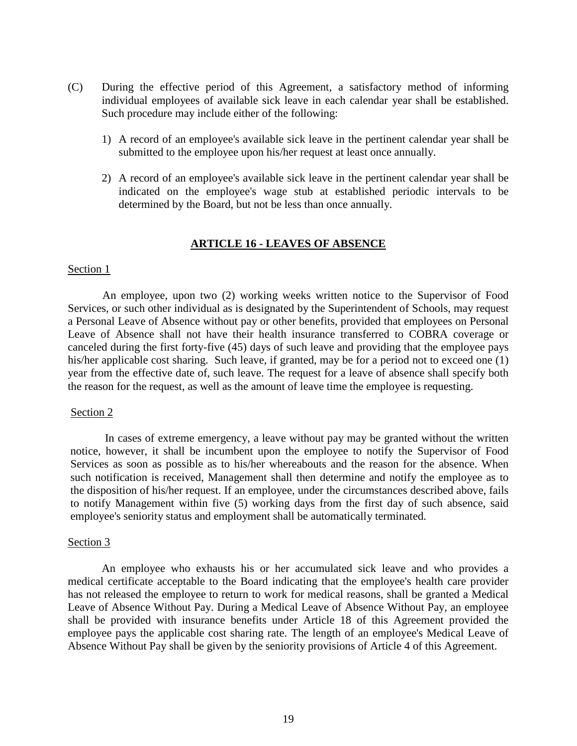- (C) During the effective period of this Agreement, a satisfactory method of informing individual employees of available sick leave in each calendar year shall be established. Such procedure may include either of the following:
	- 1) A record of an employee's available sick leave in the pertinent calendar year shall be submitted to the employee upon his/her request at least once annually.
	- 2) A record of an employee's available sick leave in the pertinent calendar year shall be indicated on the employee's wage stub at established periodic intervals to be determined by the Board, but not be less than once annually.

# **ARTICLE 16 - LEAVES OF ABSENCE**

## <span id="page-18-0"></span>Section 1

An employee, upon two (2) working weeks written notice to the Supervisor of Food Services, or such other individual as is designated by the Superintendent of Schools, may request a Personal Leave of Absence without pay or other benefits, provided that employees on Personal Leave of Absence shall not have their health insurance transferred to COBRA coverage or canceled during the first forty-five (45) days of such leave and providing that the employee pays his/her applicable cost sharing. Such leave, if granted, may be for a period not to exceed one (1) year from the effective date of, such leave. The request for a leave of absence shall specify both the reason for the request, as well as the amount of leave time the employee is requesting.

#### Section 2

In cases of extreme emergency, a leave without pay may be granted without the written notice, however, it shall be incumbent upon the employee to notify the Supervisor of Food Services as soon as possible as to his/her whereabouts and the reason for the absence. When such notification is received, Management shall then determine and notify the employee as to the disposition of his/her request. If an employee, under the circumstances described above, fails to notify Management within five (5) working days from the first day of such absence, said employee's seniority status and employment shall be automatically terminated.

#### Section 3

An employee who exhausts his or her accumulated sick leave and who provides a medical certificate acceptable to the Board indicating that the employee's health care provider has not released the employee to return to work for medical reasons, shall be granted a Medical Leave of Absence Without Pay. During a Medical Leave of Absence Without Pay, an employee shall be provided with insurance benefits under Article 18 of this Agreement provided the employee pays the applicable cost sharing rate. The length of an employee's Medical Leave of Absence Without Pay shall be given by the seniority provisions of Article 4 of this Agreement.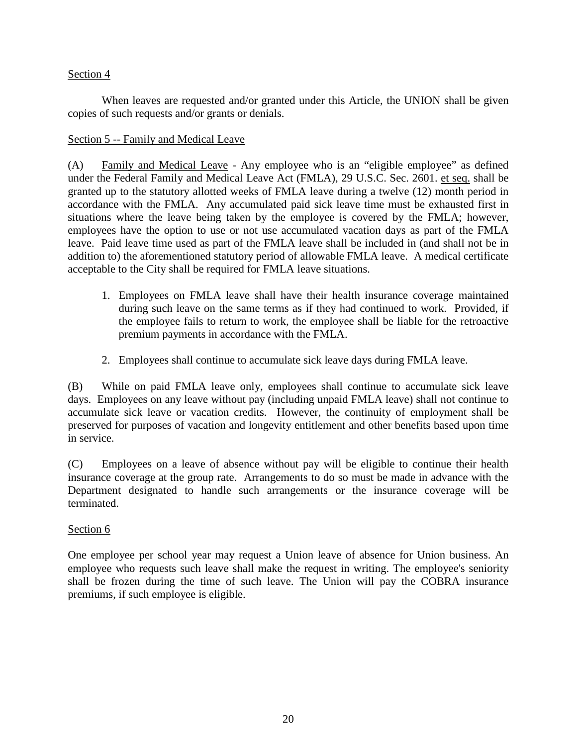When leaves are requested and/or granted under this Article, the UNION shall be given copies of such requests and/or grants or denials.

# Section 5 -- Family and Medical Leave

(A) Family and Medical Leave - Any employee who is an "eligible employee" as defined under the Federal Family and Medical Leave Act (FMLA), 29 U.S.C. Sec. 2601. et seq. shall be granted up to the statutory allotted weeks of FMLA leave during a twelve (12) month period in accordance with the FMLA. Any accumulated paid sick leave time must be exhausted first in situations where the leave being taken by the employee is covered by the FMLA; however, employees have the option to use or not use accumulated vacation days as part of the FMLA leave. Paid leave time used as part of the FMLA leave shall be included in (and shall not be in addition to) the aforementioned statutory period of allowable FMLA leave. A medical certificate acceptable to the City shall be required for FMLA leave situations.

- 1. Employees on FMLA leave shall have their health insurance coverage maintained during such leave on the same terms as if they had continued to work. Provided, if the employee fails to return to work, the employee shall be liable for the retroactive premium payments in accordance with the FMLA.
- 2. Employees shall continue to accumulate sick leave days during FMLA leave.

(B) While on paid FMLA leave only, employees shall continue to accumulate sick leave days. Employees on any leave without pay (including unpaid FMLA leave) shall not continue to accumulate sick leave or vacation credits. However, the continuity of employment shall be preserved for purposes of vacation and longevity entitlement and other benefits based upon time in service.

(C) Employees on a leave of absence without pay will be eligible to continue their health insurance coverage at the group rate. Arrangements to do so must be made in advance with the Department designated to handle such arrangements or the insurance coverage will be terminated.

# Section 6

One employee per school year may request a Union leave of absence for Union business. An employee who requests such leave shall make the request in writing. The employee's seniority shall be frozen during the time of such leave. The Union will pay the COBRA insurance premiums, if such employee is eligible.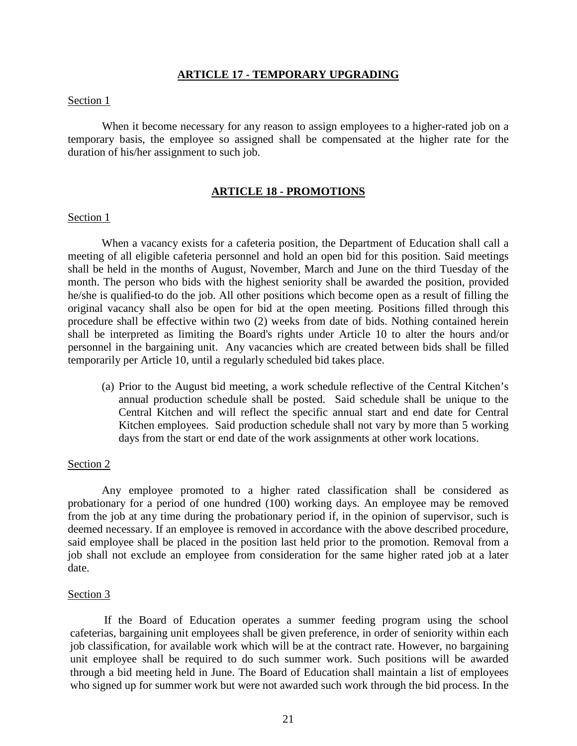## **ARTICLE 17 - TEMPORARY UPGRADING**

## <span id="page-20-0"></span>Section 1

When it become necessary for any reason to assign employees to a higher-rated job on a temporary basis, the employee so assigned shall be compensated at the higher rate for the duration of his/her assignment to such job.

## **ARTICLE 18 - PROMOTIONS**

#### <span id="page-20-1"></span>Section 1

When a vacancy exists for a cafeteria position, the Department of Education shall call a meeting of all eligible cafeteria personnel and hold an open bid for this position. Said meetings shall be held in the months of August, November, March and June on the third Tuesday of the month. The person who bids with the highest seniority shall be awarded the position, provided he/she is qualified-to do the job. All other positions which become open as a result of filling the original vacancy shall also be open for bid at the open meeting. Positions filled through this procedure shall be effective within two (2) weeks from date of bids. Nothing contained herein shall be interpreted as limiting the Board's rights under Article 10 to alter the hours and/or personnel in the bargaining unit. Any vacancies which are created between bids shall be filled temporarily per Article 10, until a regularly scheduled bid takes place.

(a) Prior to the August bid meeting, a work schedule reflective of the Central Kitchen's annual production schedule shall be posted. Said schedule shall be unique to the Central Kitchen and will reflect the specific annual start and end date for Central Kitchen employees. Said production schedule shall not vary by more than 5 working days from the start or end date of the work assignments at other work locations.

# Section 2

Any employee promoted to a higher rated classification shall be considered as probationary for a period of one hundred (100) working days. An employee may be removed from the job at any time during the probationary period if, in the opinion of supervisor, such is deemed necessary. If an employee is removed in accordance with the above described procedure, said employee shall be placed in the position last held prior to the promotion. Removal from a job shall not exclude an employee from consideration for the same higher rated job at a later date.

#### Section 3

If the Board of Education operates a summer feeding program using the school cafeterias, bargaining unit employees shall be given preference, in order of seniority within each job classification, for available work which will be at the contract rate. However, no bargaining unit employee shall be required to do such summer work. Such positions will be awarded through a bid meeting held in June. The Board of Education shall maintain a list of employees who signed up for summer work but were not awarded such work through the bid process. In the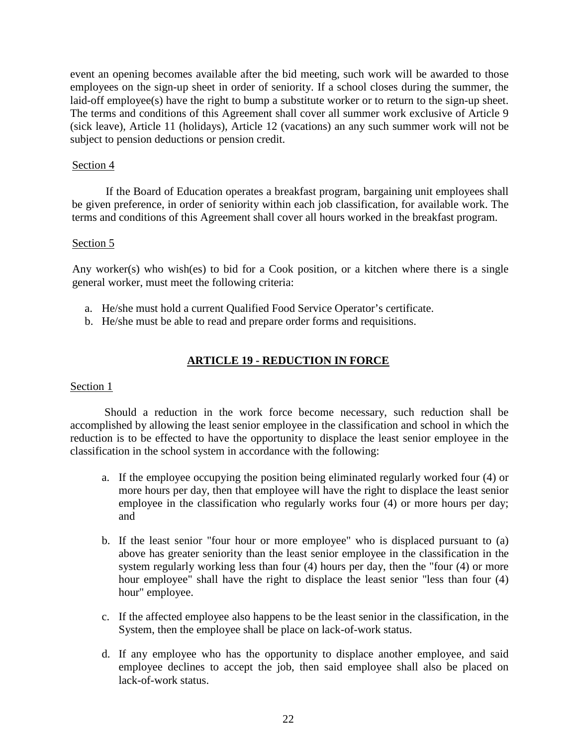event an opening becomes available after the bid meeting, such work will be awarded to those employees on the sign-up sheet in order of seniority. If a school closes during the summer, the laid-off employee(s) have the right to bump a substitute worker or to return to the sign-up sheet. The terms and conditions of this Agreement shall cover all summer work exclusive of Article 9 (sick leave), Article 11 (holidays), Article 12 (vacations) an any such summer work will not be subject to pension deductions or pension credit.

# Section 4

If the Board of Education operates a breakfast program, bargaining unit employees shall be given preference, in order of seniority within each job classification, for available work. The terms and conditions of this Agreement shall cover all hours worked in the breakfast program.

# Section 5

Any worker(s) who wish(es) to bid for a Cook position, or a kitchen where there is a single general worker, must meet the following criteria:

- a. He/she must hold a current Qualified Food Service Operator's certificate.
- b. He/she must be able to read and prepare order forms and requisitions.

# **ARTICLE 19 - REDUCTION IN FORCE**

# <span id="page-21-0"></span>Section 1

Should a reduction in the work force become necessary, such reduction shall be accomplished by allowing the least senior employee in the classification and school in which the reduction is to be effected to have the opportunity to displace the least senior employee in the classification in the school system in accordance with the following:

- a. If the employee occupying the position being eliminated regularly worked four (4) or more hours per day, then that employee will have the right to displace the least senior employee in the classification who regularly works four (4) or more hours per day; and
- b. If the least senior "four hour or more employee" who is displaced pursuant to (a) above has greater seniority than the least senior employee in the classification in the system regularly working less than four (4) hours per day, then the "four (4) or more hour employee" shall have the right to displace the least senior "less than four (4) hour" employee.
- c. If the affected employee also happens to be the least senior in the classification, in the System, then the employee shall be place on lack-of-work status.
- d. If any employee who has the opportunity to displace another employee, and said employee declines to accept the job, then said employee shall also be placed on lack-of-work status.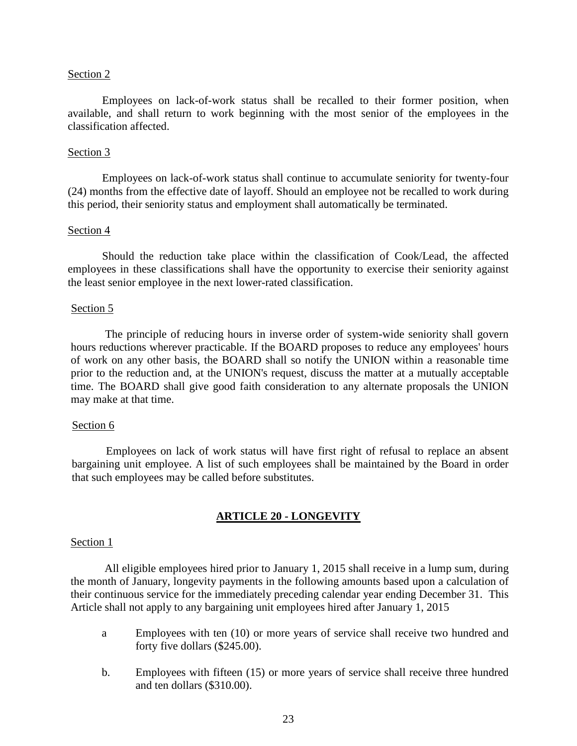Employees on lack-of-work status shall be recalled to their former position, when available, and shall return to work beginning with the most senior of the employees in the classification affected.

# Section 3

Employees on lack-of-work status shall continue to accumulate seniority for twenty-four (24) months from the effective date of layoff. Should an employee not be recalled to work during this period, their seniority status and employment shall automatically be terminated.

## Section 4

Should the reduction take place within the classification of Cook/Lead, the affected employees in these classifications shall have the opportunity to exercise their seniority against the least senior employee in the next lower-rated classification.

## Section 5

The principle of reducing hours in inverse order of system-wide seniority shall govern hours reductions wherever practicable. If the BOARD proposes to reduce any employees' hours of work on any other basis, the BOARD shall so notify the UNION within a reasonable time prior to the reduction and, at the UNION's request, discuss the matter at a mutually acceptable time. The BOARD shall give good faith consideration to any alternate proposals the UNION may make at that time.

#### Section 6

Employees on lack of work status will have first right of refusal to replace an absent bargaining unit employee. A list of such employees shall be maintained by the Board in order that such employees may be called before substitutes.

# **ARTICLE 20 - LONGEVITY**

#### <span id="page-22-0"></span>Section 1

All eligible employees hired prior to January 1, 2015 shall receive in a lump sum, during the month of January, longevity payments in the following amounts based upon a calculation of their continuous service for the immediately preceding calendar year ending December 31. This Article shall not apply to any bargaining unit employees hired after January 1, 2015

- a Employees with ten (10) or more years of service shall receive two hundred and forty five dollars (\$245.00).
- b. Employees with fifteen (15) or more years of service shall receive three hundred and ten dollars (\$310.00).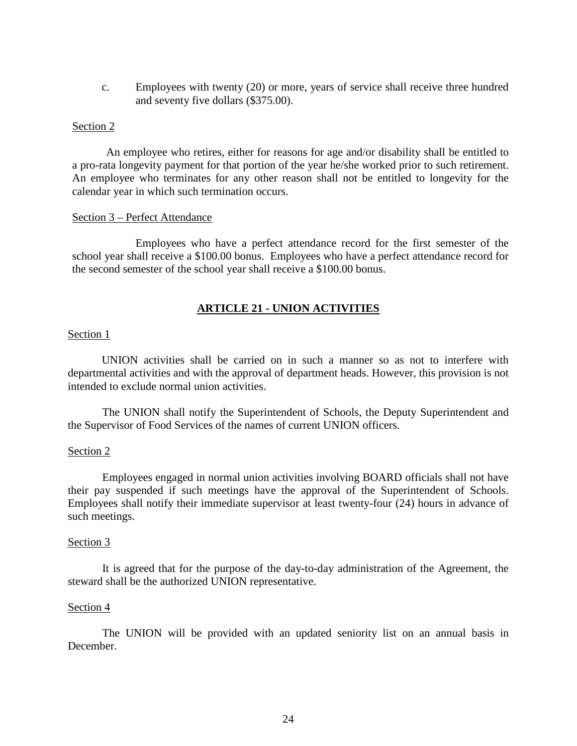c. Employees with twenty (20) or more, years of service shall receive three hundred and seventy five dollars (\$375.00).

## Section 2

An employee who retires, either for reasons for age and/or disability shall be entitled to a pro-rata longevity payment for that portion of the year he/she worked prior to such retirement. An employee who terminates for any other reason shall not be entitled to longevity for the calendar year in which such termination occurs.

# Section 3 – Perfect Attendance

Employees who have a perfect attendance record for the first semester of the school year shall receive a \$100.00 bonus. Employees who have a perfect attendance record for the second semester of the school year shall receive a \$100.00 bonus.

# **ARTICLE 21 - UNION ACTIVITIES**

## <span id="page-23-0"></span>Section 1

UNION activities shall be carried on in such a manner so as not to interfere with departmental activities and with the approval of department heads. However, this provision is not intended to exclude normal union activities.

The UNION shall notify the Superintendent of Schools, the Deputy Superintendent and the Supervisor of Food Services of the names of current UNION officers.

# Section 2

Employees engaged in normal union activities involving BOARD officials shall not have their pay suspended if such meetings have the approval of the Superintendent of Schools. Employees shall notify their immediate supervisor at least twenty-four (24) hours in advance of such meetings.

#### Section 3

It is agreed that for the purpose of the day-to-day administration of the Agreement, the steward shall be the authorized UNION representative.

## Section 4

The UNION will be provided with an updated seniority list on an annual basis in December.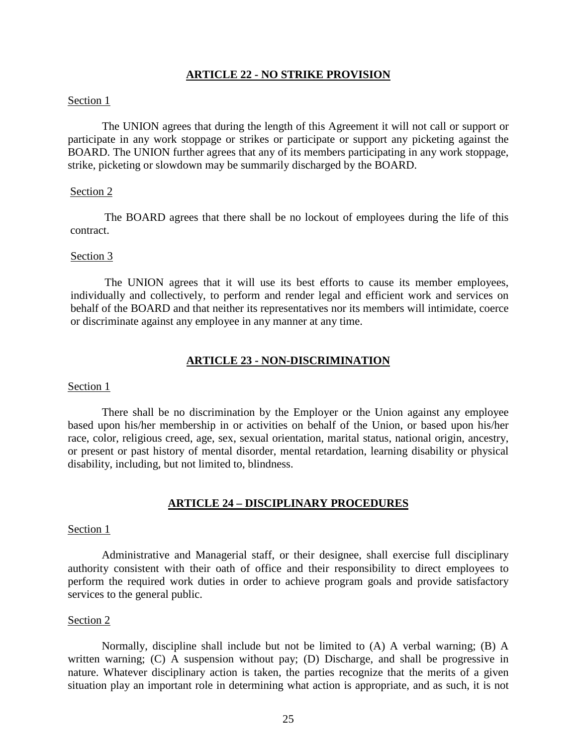# **ARTICLE 22 - NO STRIKE PROVISION**

## <span id="page-24-0"></span>Section 1

The UNION agrees that during the length of this Agreement it will not call or support or participate in any work stoppage or strikes or participate or support any picketing against the BOARD. The UNION further agrees that any of its members participating in any work stoppage, strike, picketing or slowdown may be summarily discharged by the BOARD.

## Section 2

The BOARD agrees that there shall be no lockout of employees during the life of this contract.

#### Section 3

The UNION agrees that it will use its best efforts to cause its member employees, individually and collectively, to perform and render legal and efficient work and services on behalf of the BOARD and that neither its representatives nor its members will intimidate, coerce or discriminate against any employee in any manner at any time.

#### **ARTICLE 23 - NON-DISCRIMINATION**

## <span id="page-24-1"></span>Section 1

There shall be no discrimination by the Employer or the Union against any employee based upon his/her membership in or activities on behalf of the Union, or based upon his/her race, color, religious creed, age, sex, sexual orientation, marital status, national origin, ancestry, or present or past history of mental disorder, mental retardation, learning disability or physical disability, including, but not limited to, blindness.

#### **ARTICLE 24 – DISCIPLINARY PROCEDURES**

#### <span id="page-24-2"></span>Section 1

Administrative and Managerial staff, or their designee, shall exercise full disciplinary authority consistent with their oath of office and their responsibility to direct employees to perform the required work duties in order to achieve program goals and provide satisfactory services to the general public.

#### Section 2

Normally, discipline shall include but not be limited to (A) A verbal warning; (B) A written warning; (C) A suspension without pay; (D) Discharge, and shall be progressive in nature. Whatever disciplinary action is taken, the parties recognize that the merits of a given situation play an important role in determining what action is appropriate, and as such, it is not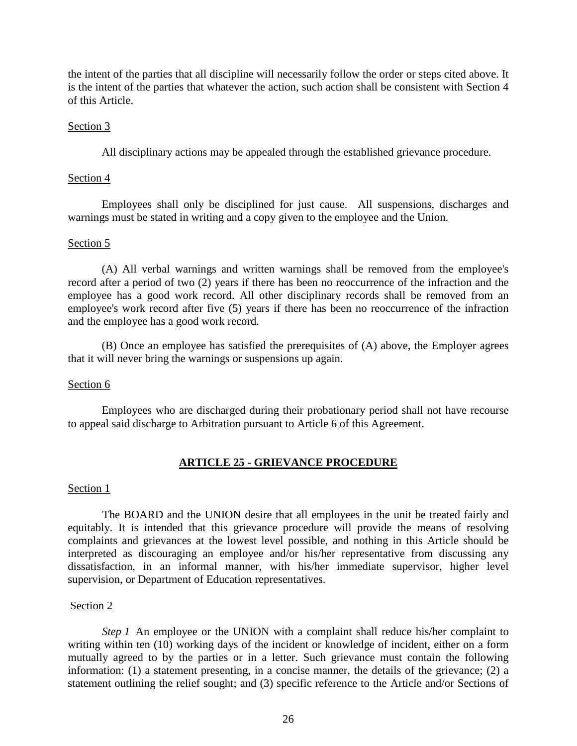the intent of the parties that all discipline will necessarily follow the order or steps cited above. It is the intent of the parties that whatever the action, such action shall be consistent with Section 4 of this Article.

# Section 3

All disciplinary actions may be appealed through the established grievance procedure.

# Section 4

Employees shall only be disciplined for just cause. All suspensions, discharges and warnings must be stated in writing and a copy given to the employee and the Union.

# Section 5

(A) All verbal warnings and written warnings shall be removed from the employee's record after a period of two (2) years if there has been no reoccurrence of the infraction and the employee has a good work record. All other disciplinary records shall be removed from an employee's work record after five (5) years if there has been no reoccurrence of the infraction and the employee has a good work record.

(B) Once an employee has satisfied the prerequisites of (A) above, the Employer agrees that it will never bring the warnings or suspensions up again.

# Section 6

Employees who are discharged during their probationary period shall not have recourse to appeal said discharge to Arbitration pursuant to Article 6 of this Agreement.

# **ARTICLE 25 - GRIEVANCE PROCEDURE**

# <span id="page-25-0"></span>Section 1

The BOARD and the UNION desire that all employees in the unit be treated fairly and equitably. It is intended that this grievance procedure will provide the means of resolving complaints and grievances at the lowest level possible, and nothing in this Article should be interpreted as discouraging an employee and/or his/her representative from discussing any dissatisfaction, in an informal manner, with his/her immediate supervisor, higher level supervision, or Department of Education representatives.

# Section 2

*Step 1* An employee or the UNION with a complaint shall reduce his/her complaint to writing within ten (10) working days of the incident or knowledge of incident, either on a form mutually agreed to by the parties or in a letter. Such grievance must contain the following information: (1) a statement presenting, in a concise manner, the details of the grievance; (2) a statement outlining the relief sought; and (3) specific reference to the Article and/or Sections of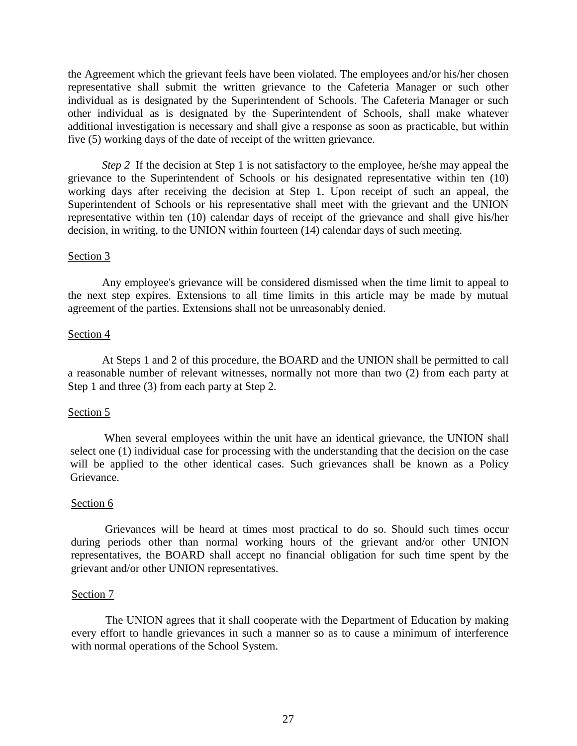the Agreement which the grievant feels have been violated. The employees and/or his/her chosen representative shall submit the written grievance to the Cafeteria Manager or such other individual as is designated by the Superintendent of Schools. The Cafeteria Manager or such other individual as is designated by the Superintendent of Schools, shall make whatever additional investigation is necessary and shall give a response as soon as practicable, but within five (5) working days of the date of receipt of the written grievance.

*Step 2* If the decision at Step 1 is not satisfactory to the employee, he/she may appeal the grievance to the Superintendent of Schools or his designated representative within ten (10) working days after receiving the decision at Step 1. Upon receipt of such an appeal, the Superintendent of Schools or his representative shall meet with the grievant and the UNION representative within ten (10) calendar days of receipt of the grievance and shall give his/her decision, in writing, to the UNION within fourteen (14) calendar days of such meeting.

# Section 3

Any employee's grievance will be considered dismissed when the time limit to appeal to the next step expires. Extensions to all time limits in this article may be made by mutual agreement of the parties. Extensions shall not be unreasonably denied.

# Section 4

At Steps 1 and 2 of this procedure, the BOARD and the UNION shall be permitted to call a reasonable number of relevant witnesses, normally not more than two (2) from each party at Step 1 and three (3) from each party at Step 2.

# Section 5

When several employees within the unit have an identical grievance, the UNION shall select one (1) individual case for processing with the understanding that the decision on the case will be applied to the other identical cases. Such grievances shall be known as a Policy Grievance.

# Section 6

Grievances will be heard at times most practical to do so. Should such times occur during periods other than normal working hours of the grievant and/or other UNION representatives, the BOARD shall accept no financial obligation for such time spent by the grievant and/or other UNION representatives.

# Section 7

The UNION agrees that it shall cooperate with the Department of Education by making every effort to handle grievances in such a manner so as to cause a minimum of interference with normal operations of the School System.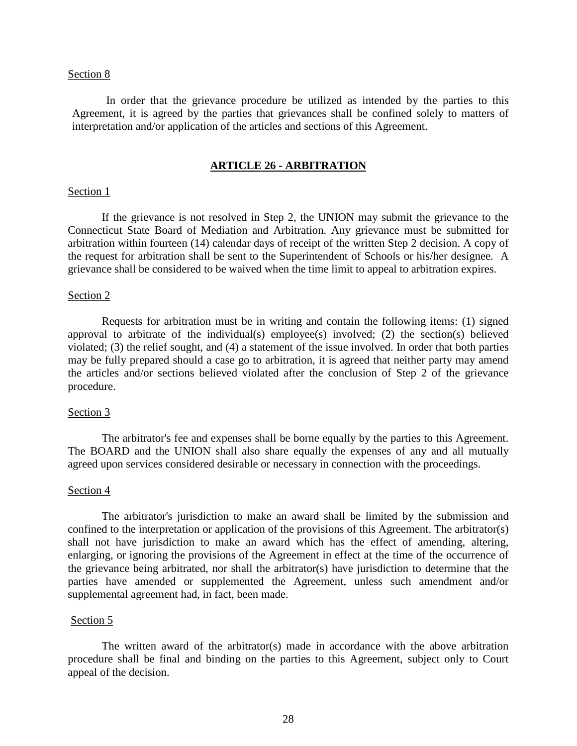In order that the grievance procedure be utilized as intended by the parties to this Agreement, it is agreed by the parties that grievances shall be confined solely to matters of interpretation and/or application of the articles and sections of this Agreement.

# **ARTICLE 26 - ARBITRATION**

#### <span id="page-27-0"></span>Section 1

If the grievance is not resolved in Step 2, the UNION may submit the grievance to the Connecticut State Board of Mediation and Arbitration. Any grievance must be submitted for arbitration within fourteen (14) calendar days of receipt of the written Step 2 decision. A copy of the request for arbitration shall be sent to the Superintendent of Schools or his/her designee. A grievance shall be considered to be waived when the time limit to appeal to arbitration expires.

## Section 2

Requests for arbitration must be in writing and contain the following items: (1) signed approval to arbitrate of the individual(s) employee(s) involved; (2) the section(s) believed violated; (3) the relief sought, and (4) a statement of the issue involved. In order that both parties may be fully prepared should a case go to arbitration, it is agreed that neither party may amend the articles and/or sections believed violated after the conclusion of Step 2 of the grievance procedure.

#### Section 3

The arbitrator's fee and expenses shall be borne equally by the parties to this Agreement. The BOARD and the UNION shall also share equally the expenses of any and all mutually agreed upon services considered desirable or necessary in connection with the proceedings.

#### Section 4

The arbitrator's jurisdiction to make an award shall be limited by the submission and confined to the interpretation or application of the provisions of this Agreement. The arbitrator(s) shall not have jurisdiction to make an award which has the effect of amending, altering, enlarging, or ignoring the provisions of the Agreement in effect at the time of the occurrence of the grievance being arbitrated, nor shall the arbitrator(s) have jurisdiction to determine that the parties have amended or supplemented the Agreement, unless such amendment and/or supplemental agreement had, in fact, been made.

#### Section 5

The written award of the arbitrator(s) made in accordance with the above arbitration procedure shall be final and binding on the parties to this Agreement, subject only to Court appeal of the decision.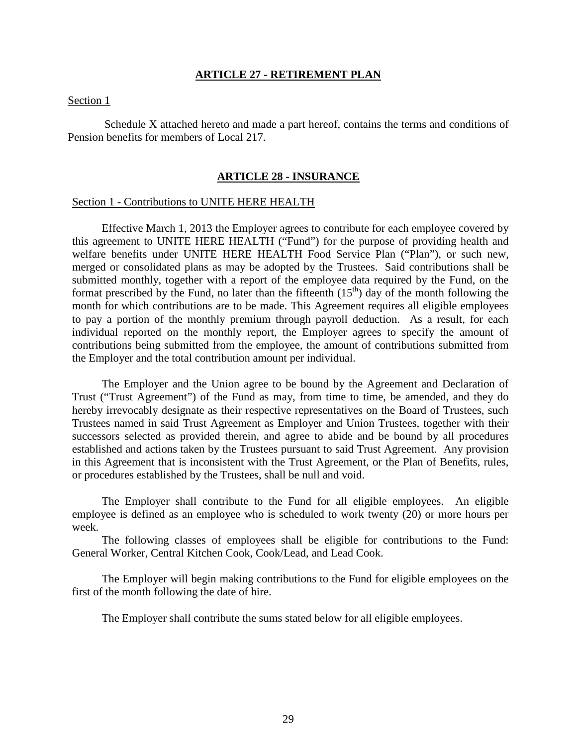# **ARTICLE 27 - RETIREMENT PLAN**

## <span id="page-28-0"></span>Section 1

Schedule X attached hereto and made a part hereof, contains the terms and conditions of Pension benefits for members of Local 217.

## **ARTICLE 28 - INSURANCE**

## <span id="page-28-1"></span>Section 1 - Contributions to UNITE HERE HEALTH

Effective March 1, 2013 the Employer agrees to contribute for each employee covered by this agreement to UNITE HERE HEALTH ("Fund") for the purpose of providing health and welfare benefits under UNITE HERE HEALTH Food Service Plan ("Plan"), or such new, merged or consolidated plans as may be adopted by the Trustees. Said contributions shall be submitted monthly, together with a report of the employee data required by the Fund, on the format prescribed by the Fund, no later than the fifteenth  $(15<sup>th</sup>)$  day of the month following the month for which contributions are to be made. This Agreement requires all eligible employees to pay a portion of the monthly premium through payroll deduction. As a result, for each individual reported on the monthly report, the Employer agrees to specify the amount of contributions being submitted from the employee, the amount of contributions submitted from the Employer and the total contribution amount per individual.

The Employer and the Union agree to be bound by the Agreement and Declaration of Trust ("Trust Agreement") of the Fund as may, from time to time, be amended, and they do hereby irrevocably designate as their respective representatives on the Board of Trustees, such Trustees named in said Trust Agreement as Employer and Union Trustees, together with their successors selected as provided therein, and agree to abide and be bound by all procedures established and actions taken by the Trustees pursuant to said Trust Agreement. Any provision in this Agreement that is inconsistent with the Trust Agreement, or the Plan of Benefits, rules, or procedures established by the Trustees, shall be null and void.

The Employer shall contribute to the Fund for all eligible employees. An eligible employee is defined as an employee who is scheduled to work twenty (20) or more hours per week.

The following classes of employees shall be eligible for contributions to the Fund: General Worker, Central Kitchen Cook, Cook/Lead, and Lead Cook.

The Employer will begin making contributions to the Fund for eligible employees on the first of the month following the date of hire.

The Employer shall contribute the sums stated below for all eligible employees.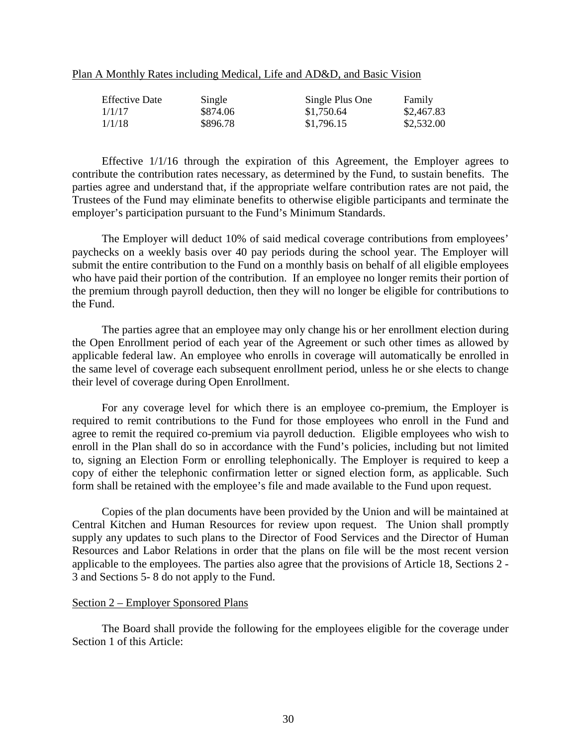|--|

| <b>Effective Date</b> | Single   | Single Plus One | Family     |
|-----------------------|----------|-----------------|------------|
| 1/1/17                | \$874.06 | \$1,750.64      | \$2,467.83 |
| 1/1/18                | \$896.78 | \$1,796.15      | \$2,532.00 |

Effective 1/1/16 through the expiration of this Agreement, the Employer agrees to contribute the contribution rates necessary, as determined by the Fund, to sustain benefits. The parties agree and understand that, if the appropriate welfare contribution rates are not paid, the Trustees of the Fund may eliminate benefits to otherwise eligible participants and terminate the employer's participation pursuant to the Fund's Minimum Standards.

The Employer will deduct 10% of said medical coverage contributions from employees' paychecks on a weekly basis over 40 pay periods during the school year. The Employer will submit the entire contribution to the Fund on a monthly basis on behalf of all eligible employees who have paid their portion of the contribution. If an employee no longer remits their portion of the premium through payroll deduction, then they will no longer be eligible for contributions to the Fund.

The parties agree that an employee may only change his or her enrollment election during the Open Enrollment period of each year of the Agreement or such other times as allowed by applicable federal law. An employee who enrolls in coverage will automatically be enrolled in the same level of coverage each subsequent enrollment period, unless he or she elects to change their level of coverage during Open Enrollment.

For any coverage level for which there is an employee co-premium, the Employer is required to remit contributions to the Fund for those employees who enroll in the Fund and agree to remit the required co-premium via payroll deduction. Eligible employees who wish to enroll in the Plan shall do so in accordance with the Fund's policies, including but not limited to, signing an Election Form or enrolling telephonically. The Employer is required to keep a copy of either the telephonic confirmation letter or signed election form, as applicable. Such form shall be retained with the employee's file and made available to the Fund upon request.

Copies of the plan documents have been provided by the Union and will be maintained at Central Kitchen and Human Resources for review upon request. The Union shall promptly supply any updates to such plans to the Director of Food Services and the Director of Human Resources and Labor Relations in order that the plans on file will be the most recent version applicable to the employees. The parties also agree that the provisions of Article 18, Sections 2 - 3 and Sections 5- 8 do not apply to the Fund.

#### Section 2 – Employer Sponsored Plans

The Board shall provide the following for the employees eligible for the coverage under Section 1 of this Article: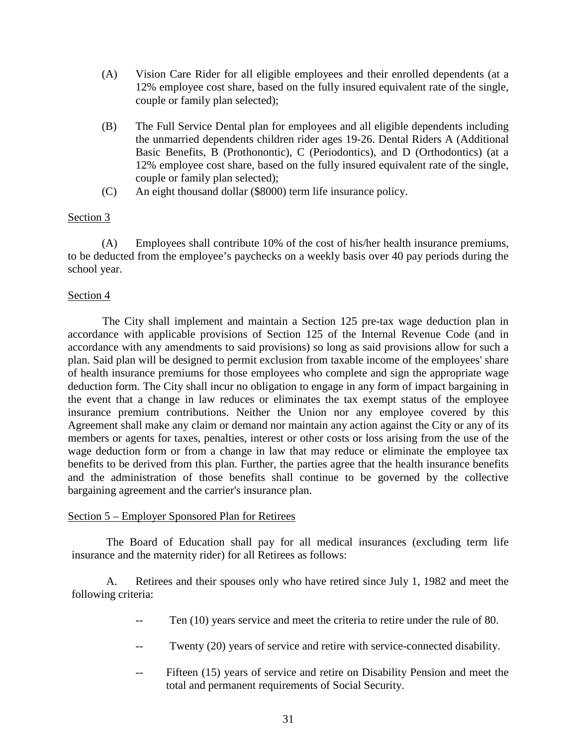- (A) Vision Care Rider for all eligible employees and their enrolled dependents (at a 12% employee cost share, based on the fully insured equivalent rate of the single, couple or family plan selected);
- (B) The Full Service Dental plan for employees and all eligible dependents including the unmarried dependents children rider ages 19-26. Dental Riders A (Additional Basic Benefits, B (Prothonontic), C (Periodontics), and D (Orthodontics) (at a 12% employee cost share, based on the fully insured equivalent rate of the single, couple or family plan selected);
- (C) An eight thousand dollar (\$8000) term life insurance policy.

(A) Employees shall contribute 10% of the cost of his/her health insurance premiums, to be deducted from the employee's paychecks on a weekly basis over 40 pay periods during the school year.

# Section 4

The City shall implement and maintain a Section 125 pre-tax wage deduction plan in accordance with applicable provisions of Section 125 of the Internal Revenue Code (and in accordance with any amendments to said provisions) so long as said provisions allow for such a plan. Said plan will be designed to permit exclusion from taxable income of the employees' share of health insurance premiums for those employees who complete and sign the appropriate wage deduction form. The City shall incur no obligation to engage in any form of impact bargaining in the event that a change in law reduces or eliminates the tax exempt status of the employee insurance premium contributions. Neither the Union nor any employee covered by this Agreement shall make any claim or demand nor maintain any action against the City or any of its members or agents for taxes, penalties, interest or other costs or loss arising from the use of the wage deduction form or from a change in law that may reduce or eliminate the employee tax benefits to be derived from this plan. Further, the parties agree that the health insurance benefits and the administration of those benefits shall continue to be governed by the collective bargaining agreement and the carrier's insurance plan.

# Section 5 – Employer Sponsored Plan for Retirees

The Board of Education shall pay for all medical insurances (excluding term life insurance and the maternity rider) for all Retirees as follows:

A. Retirees and their spouses only who have retired since July 1, 1982 and meet the following criteria:

- Ten (10) years service and meet the criteria to retire under the rule of 80.
- Twenty (20) years of service and retire with service-connected disability.
- -- Fifteen (15) years of service and retire on Disability Pension and meet the total and permanent requirements of Social Security.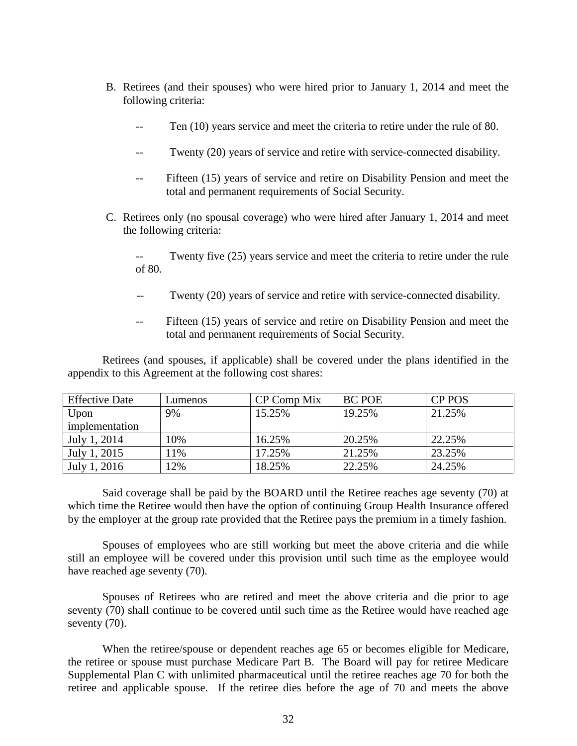- B. Retirees (and their spouses) who were hired prior to January 1, 2014 and meet the following criteria:
	- -- Ten (10) years service and meet the criteria to retire under the rule of 80.
	- -- Twenty (20) years of service and retire with service-connected disability.
	- Fifteen (15) years of service and retire on Disability Pension and meet the total and permanent requirements of Social Security.
- C. Retirees only (no spousal coverage) who were hired after January 1, 2014 and meet the following criteria:
	- Twenty five (25) years service and meet the criteria to retire under the rule of 80.
	- -- Twenty (20) years of service and retire with service-connected disability.
	- -- Fifteen (15) years of service and retire on Disability Pension and meet the total and permanent requirements of Social Security.

Retirees (and spouses, if applicable) shall be covered under the plans identified in the appendix to this Agreement at the following cost shares:

| <b>Effective Date</b> | Lumenos | CP Comp Mix | <b>BC POE</b> | <b>CP POS</b> |
|-----------------------|---------|-------------|---------------|---------------|
| Upon                  | 9%      | 15.25%      | 19.25%        | 21.25%        |
| implementation        |         |             |               |               |
| July 1, 2014          | 10%     | 16.25%      | 20.25%        | 22.25%        |
| July 1, 2015          | $1\%$   | 17.25%      | 21.25%        | 23.25%        |
| July 1, 2016          | 12%     | 18.25%      | 22.25%        | 24.25%        |

Said coverage shall be paid by the BOARD until the Retiree reaches age seventy (70) at which time the Retiree would then have the option of continuing Group Health Insurance offered by the employer at the group rate provided that the Retiree pays the premium in a timely fashion.

Spouses of employees who are still working but meet the above criteria and die while still an employee will be covered under this provision until such time as the employee would have reached age seventy (70).

Spouses of Retirees who are retired and meet the above criteria and die prior to age seventy (70) shall continue to be covered until such time as the Retiree would have reached age seventy  $(70)$ .

When the retiree/spouse or dependent reaches age 65 or becomes eligible for Medicare, the retiree or spouse must purchase Medicare Part B. The Board will pay for retiree Medicare Supplemental Plan C with unlimited pharmaceutical until the retiree reaches age 70 for both the retiree and applicable spouse. If the retiree dies before the age of 70 and meets the above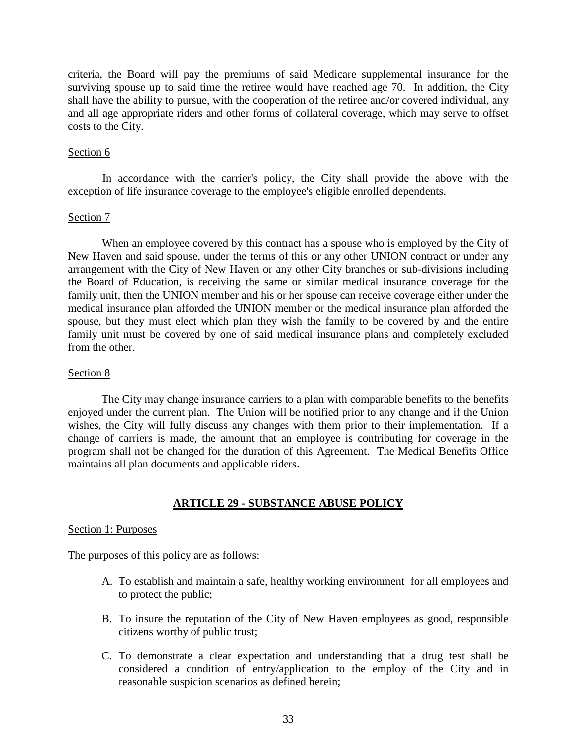criteria, the Board will pay the premiums of said Medicare supplemental insurance for the surviving spouse up to said time the retiree would have reached age 70. In addition, the City shall have the ability to pursue, with the cooperation of the retiree and/or covered individual, any and all age appropriate riders and other forms of collateral coverage, which may serve to offset costs to the City.

# Section 6

In accordance with the carrier's policy, the City shall provide the above with the exception of life insurance coverage to the employee's eligible enrolled dependents.

# Section 7

When an employee covered by this contract has a spouse who is employed by the City of New Haven and said spouse, under the terms of this or any other UNION contract or under any arrangement with the City of New Haven or any other City branches or sub-divisions including the Board of Education, is receiving the same or similar medical insurance coverage for the family unit, then the UNION member and his or her spouse can receive coverage either under the medical insurance plan afforded the UNION member or the medical insurance plan afforded the spouse, but they must elect which plan they wish the family to be covered by and the entire family unit must be covered by one of said medical insurance plans and completely excluded from the other.

# Section 8

The City may change insurance carriers to a plan with comparable benefits to the benefits enjoyed under the current plan. The Union will be notified prior to any change and if the Union wishes, the City will fully discuss any changes with them prior to their implementation. If a change of carriers is made, the amount that an employee is contributing for coverage in the program shall not be changed for the duration of this Agreement. The Medical Benefits Office maintains all plan documents and applicable riders.

# **ARTICLE 29 - SUBSTANCE ABUSE POLICY**

# <span id="page-32-0"></span>Section 1: Purposes

The purposes of this policy are as follows:

- A. To establish and maintain a safe, healthy working environment for all employees and to protect the public;
- B. To insure the reputation of the City of New Haven employees as good, responsible citizens worthy of public trust;
- C. To demonstrate a clear expectation and understanding that a drug test shall be considered a condition of entry/application to the employ of the City and in reasonable suspicion scenarios as defined herein;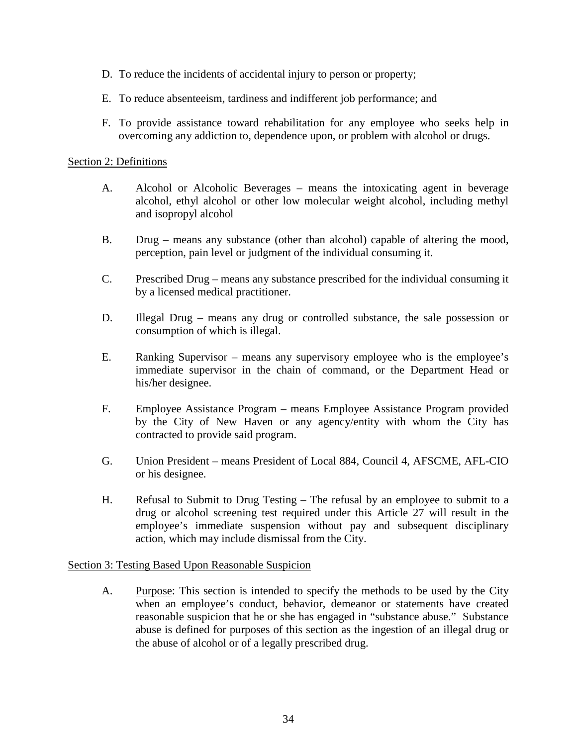- D. To reduce the incidents of accidental injury to person or property;
- E. To reduce absenteeism, tardiness and indifferent job performance; and
- F. To provide assistance toward rehabilitation for any employee who seeks help in overcoming any addiction to, dependence upon, or problem with alcohol or drugs.

# Section 2: Definitions

- A. Alcohol or Alcoholic Beverages means the intoxicating agent in beverage alcohol, ethyl alcohol or other low molecular weight alcohol, including methyl and isopropyl alcohol
- B. Drug means any substance (other than alcohol) capable of altering the mood, perception, pain level or judgment of the individual consuming it.
- C. Prescribed Drug means any substance prescribed for the individual consuming it by a licensed medical practitioner.
- D. Illegal Drug means any drug or controlled substance, the sale possession or consumption of which is illegal.
- E. Ranking Supervisor means any supervisory employee who is the employee's immediate supervisor in the chain of command, or the Department Head or his/her designee.
- F. Employee Assistance Program means Employee Assistance Program provided by the City of New Haven or any agency/entity with whom the City has contracted to provide said program.
- G. Union President means President of Local 884, Council 4, AFSCME, AFL-CIO or his designee.
- H. Refusal to Submit to Drug Testing The refusal by an employee to submit to a drug or alcohol screening test required under this Article 27 will result in the employee's immediate suspension without pay and subsequent disciplinary action, which may include dismissal from the City.

# Section 3: Testing Based Upon Reasonable Suspicion

A. Purpose: This section is intended to specify the methods to be used by the City when an employee's conduct, behavior, demeanor or statements have created reasonable suspicion that he or she has engaged in "substance abuse." Substance abuse is defined for purposes of this section as the ingestion of an illegal drug or the abuse of alcohol or of a legally prescribed drug.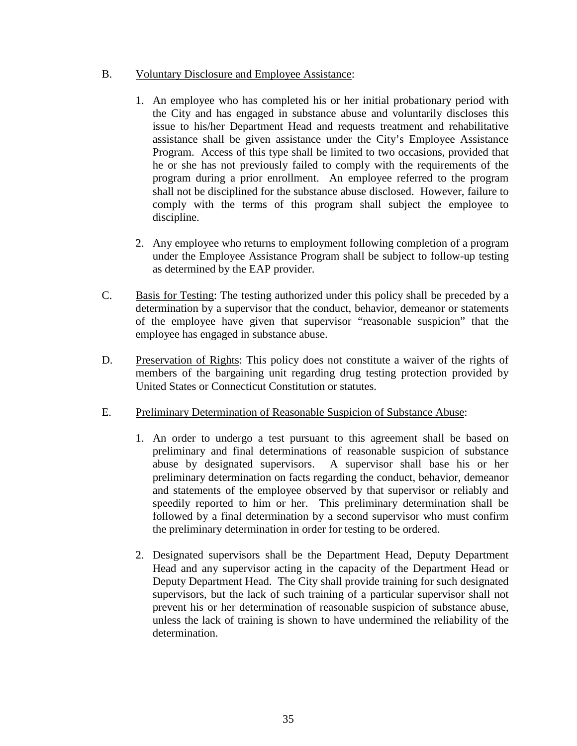# B. Voluntary Disclosure and Employee Assistance:

- 1. An employee who has completed his or her initial probationary period with the City and has engaged in substance abuse and voluntarily discloses this issue to his/her Department Head and requests treatment and rehabilitative assistance shall be given assistance under the City's Employee Assistance Program. Access of this type shall be limited to two occasions, provided that he or she has not previously failed to comply with the requirements of the program during a prior enrollment. An employee referred to the program shall not be disciplined for the substance abuse disclosed. However, failure to comply with the terms of this program shall subject the employee to discipline.
- 2. Any employee who returns to employment following completion of a program under the Employee Assistance Program shall be subject to follow-up testing as determined by the EAP provider.
- C. Basis for Testing: The testing authorized under this policy shall be preceded by a determination by a supervisor that the conduct, behavior, demeanor or statements of the employee have given that supervisor "reasonable suspicion" that the employee has engaged in substance abuse.
- D. Preservation of Rights: This policy does not constitute a waiver of the rights of members of the bargaining unit regarding drug testing protection provided by United States or Connecticut Constitution or statutes.
- E. Preliminary Determination of Reasonable Suspicion of Substance Abuse:
	- 1. An order to undergo a test pursuant to this agreement shall be based on preliminary and final determinations of reasonable suspicion of substance abuse by designated supervisors. A supervisor shall base his or her preliminary determination on facts regarding the conduct, behavior, demeanor and statements of the employee observed by that supervisor or reliably and speedily reported to him or her. This preliminary determination shall be followed by a final determination by a second supervisor who must confirm the preliminary determination in order for testing to be ordered.
	- 2. Designated supervisors shall be the Department Head, Deputy Department Head and any supervisor acting in the capacity of the Department Head or Deputy Department Head. The City shall provide training for such designated supervisors, but the lack of such training of a particular supervisor shall not prevent his or her determination of reasonable suspicion of substance abuse, unless the lack of training is shown to have undermined the reliability of the determination.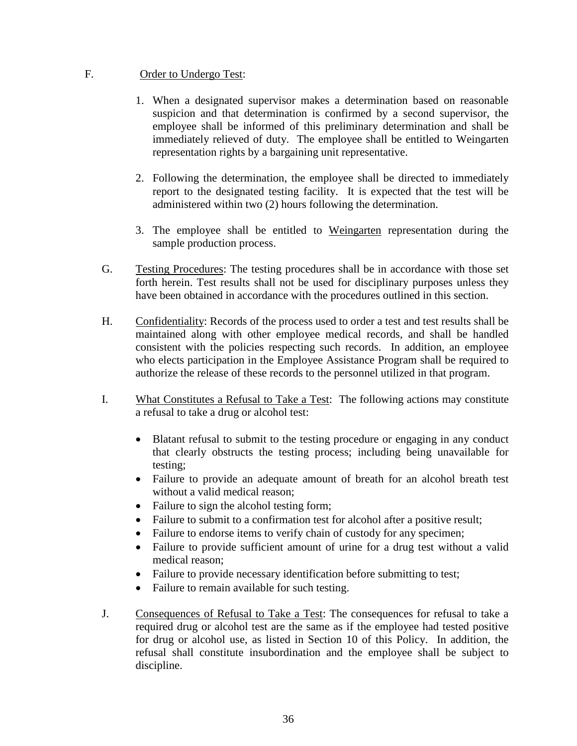# F. Order to Undergo Test:

- 1. When a designated supervisor makes a determination based on reasonable suspicion and that determination is confirmed by a second supervisor, the employee shall be informed of this preliminary determination and shall be immediately relieved of duty. The employee shall be entitled to Weingarten representation rights by a bargaining unit representative.
- 2. Following the determination, the employee shall be directed to immediately report to the designated testing facility. It is expected that the test will be administered within two (2) hours following the determination.
- 3. The employee shall be entitled to Weingarten representation during the sample production process.
- G. Testing Procedures: The testing procedures shall be in accordance with those set forth herein. Test results shall not be used for disciplinary purposes unless they have been obtained in accordance with the procedures outlined in this section.
- H. Confidentiality: Records of the process used to order a test and test results shall be maintained along with other employee medical records, and shall be handled consistent with the policies respecting such records. In addition, an employee who elects participation in the Employee Assistance Program shall be required to authorize the release of these records to the personnel utilized in that program.
- I. What Constitutes a Refusal to Take a Test: The following actions may constitute a refusal to take a drug or alcohol test:
	- Blatant refusal to submit to the testing procedure or engaging in any conduct that clearly obstructs the testing process; including being unavailable for testing;
	- Failure to provide an adequate amount of breath for an alcohol breath test without a valid medical reason;
	- Failure to sign the alcohol testing form;
	- Failure to submit to a confirmation test for alcohol after a positive result;
	- Failure to endorse items to verify chain of custody for any specimen;
	- Failure to provide sufficient amount of urine for a drug test without a valid medical reason;
	- Failure to provide necessary identification before submitting to test;
	- Failure to remain available for such testing.
- J. Consequences of Refusal to Take a Test: The consequences for refusal to take a required drug or alcohol test are the same as if the employee had tested positive for drug or alcohol use, as listed in Section 10 of this Policy. In addition, the refusal shall constitute insubordination and the employee shall be subject to discipline.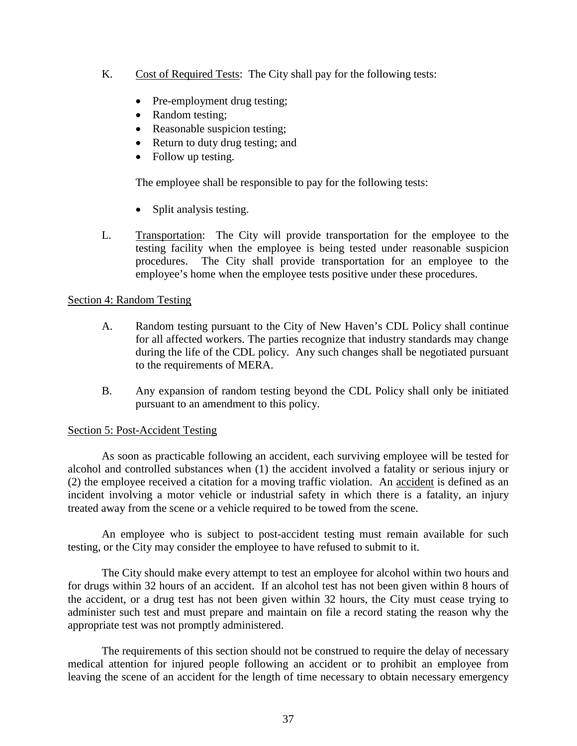- K. Cost of Required Tests: The City shall pay for the following tests:
	- Pre-employment drug testing;
	- Random testing;
	- Reasonable suspicion testing;
	- Return to duty drug testing; and
	- Follow up testing.

The employee shall be responsible to pay for the following tests:

- Split analysis testing.
- L. Transportation: The City will provide transportation for the employee to the testing facility when the employee is being tested under reasonable suspicion procedures. The City shall provide transportation for an employee to the employee's home when the employee tests positive under these procedures.

# Section 4: Random Testing

- A. Random testing pursuant to the City of New Haven's CDL Policy shall continue for all affected workers. The parties recognize that industry standards may change during the life of the CDL policy. Any such changes shall be negotiated pursuant to the requirements of MERA.
- B. Any expansion of random testing beyond the CDL Policy shall only be initiated pursuant to an amendment to this policy.

# Section 5: Post-Accident Testing

As soon as practicable following an accident, each surviving employee will be tested for alcohol and controlled substances when (1) the accident involved a fatality or serious injury or (2) the employee received a citation for a moving traffic violation. An accident is defined as an incident involving a motor vehicle or industrial safety in which there is a fatality, an injury treated away from the scene or a vehicle required to be towed from the scene.

An employee who is subject to post-accident testing must remain available for such testing, or the City may consider the employee to have refused to submit to it.

The City should make every attempt to test an employee for alcohol within two hours and for drugs within 32 hours of an accident. If an alcohol test has not been given within 8 hours of the accident, or a drug test has not been given within 32 hours, the City must cease trying to administer such test and must prepare and maintain on file a record stating the reason why the appropriate test was not promptly administered.

The requirements of this section should not be construed to require the delay of necessary medical attention for injured people following an accident or to prohibit an employee from leaving the scene of an accident for the length of time necessary to obtain necessary emergency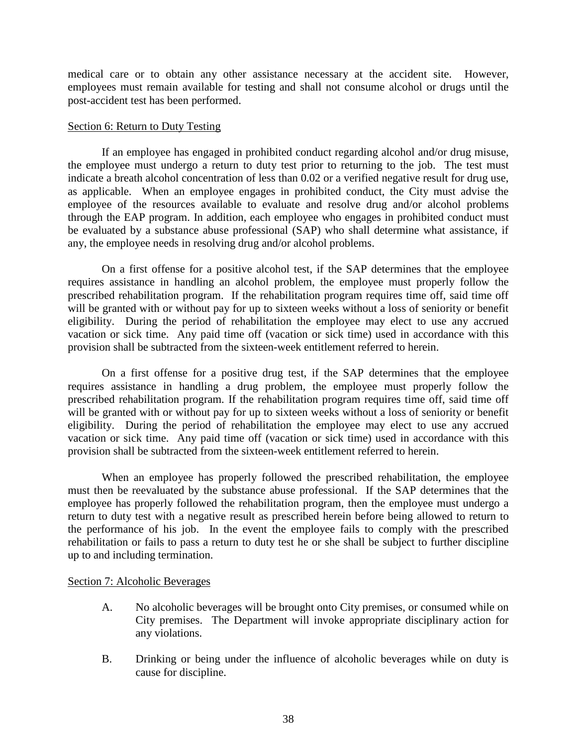medical care or to obtain any other assistance necessary at the accident site. However, employees must remain available for testing and shall not consume alcohol or drugs until the post-accident test has been performed.

# Section 6: Return to Duty Testing

If an employee has engaged in prohibited conduct regarding alcohol and/or drug misuse, the employee must undergo a return to duty test prior to returning to the job. The test must indicate a breath alcohol concentration of less than 0.02 or a verified negative result for drug use, as applicable. When an employee engages in prohibited conduct, the City must advise the employee of the resources available to evaluate and resolve drug and/or alcohol problems through the EAP program. In addition, each employee who engages in prohibited conduct must be evaluated by a substance abuse professional (SAP) who shall determine what assistance, if any, the employee needs in resolving drug and/or alcohol problems.

On a first offense for a positive alcohol test, if the SAP determines that the employee requires assistance in handling an alcohol problem, the employee must properly follow the prescribed rehabilitation program. If the rehabilitation program requires time off, said time off will be granted with or without pay for up to sixteen weeks without a loss of seniority or benefit eligibility. During the period of rehabilitation the employee may elect to use any accrued vacation or sick time. Any paid time off (vacation or sick time) used in accordance with this provision shall be subtracted from the sixteen-week entitlement referred to herein.

On a first offense for a positive drug test, if the SAP determines that the employee requires assistance in handling a drug problem, the employee must properly follow the prescribed rehabilitation program. If the rehabilitation program requires time off, said time off will be granted with or without pay for up to sixteen weeks without a loss of seniority or benefit eligibility. During the period of rehabilitation the employee may elect to use any accrued vacation or sick time. Any paid time off (vacation or sick time) used in accordance with this provision shall be subtracted from the sixteen-week entitlement referred to herein.

When an employee has properly followed the prescribed rehabilitation, the employee must then be reevaluated by the substance abuse professional. If the SAP determines that the employee has properly followed the rehabilitation program, then the employee must undergo a return to duty test with a negative result as prescribed herein before being allowed to return to the performance of his job. In the event the employee fails to comply with the prescribed rehabilitation or fails to pass a return to duty test he or she shall be subject to further discipline up to and including termination.

# Section 7: Alcoholic Beverages

- A. No alcoholic beverages will be brought onto City premises, or consumed while on City premises. The Department will invoke appropriate disciplinary action for any violations.
- B. Drinking or being under the influence of alcoholic beverages while on duty is cause for discipline.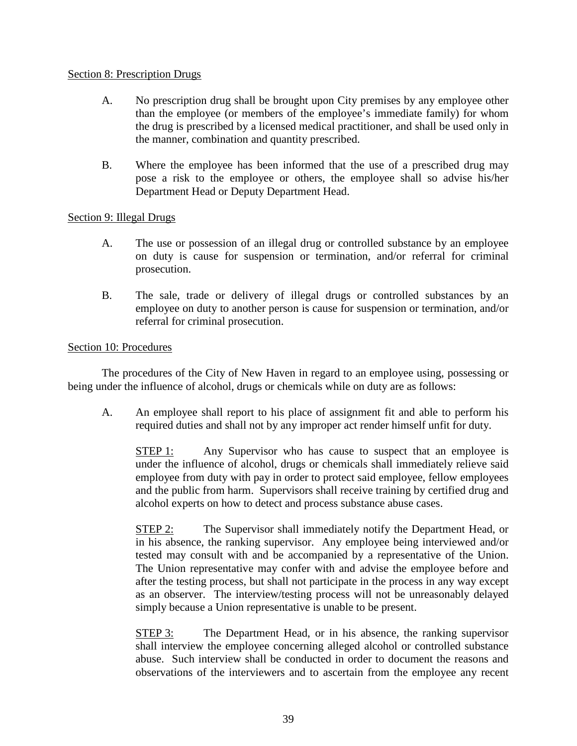# Section 8: Prescription Drugs

- A. No prescription drug shall be brought upon City premises by any employee other than the employee (or members of the employee's immediate family) for whom the drug is prescribed by a licensed medical practitioner, and shall be used only in the manner, combination and quantity prescribed.
- B. Where the employee has been informed that the use of a prescribed drug may pose a risk to the employee or others, the employee shall so advise his/her Department Head or Deputy Department Head.

# Section 9: Illegal Drugs

- A. The use or possession of an illegal drug or controlled substance by an employee on duty is cause for suspension or termination, and/or referral for criminal prosecution.
- B. The sale, trade or delivery of illegal drugs or controlled substances by an employee on duty to another person is cause for suspension or termination, and/or referral for criminal prosecution.

# Section 10: Procedures

The procedures of the City of New Haven in regard to an employee using, possessing or being under the influence of alcohol, drugs or chemicals while on duty are as follows:

A. An employee shall report to his place of assignment fit and able to perform his required duties and shall not by any improper act render himself unfit for duty.

STEP 1: Any Supervisor who has cause to suspect that an employee is under the influence of alcohol, drugs or chemicals shall immediately relieve said employee from duty with pay in order to protect said employee, fellow employees and the public from harm. Supervisors shall receive training by certified drug and alcohol experts on how to detect and process substance abuse cases.

STEP 2: The Supervisor shall immediately notify the Department Head, or in his absence, the ranking supervisor. Any employee being interviewed and/or tested may consult with and be accompanied by a representative of the Union. The Union representative may confer with and advise the employee before and after the testing process, but shall not participate in the process in any way except as an observer. The interview/testing process will not be unreasonably delayed simply because a Union representative is unable to be present.

STEP 3: The Department Head, or in his absence, the ranking supervisor shall interview the employee concerning alleged alcohol or controlled substance abuse. Such interview shall be conducted in order to document the reasons and observations of the interviewers and to ascertain from the employee any recent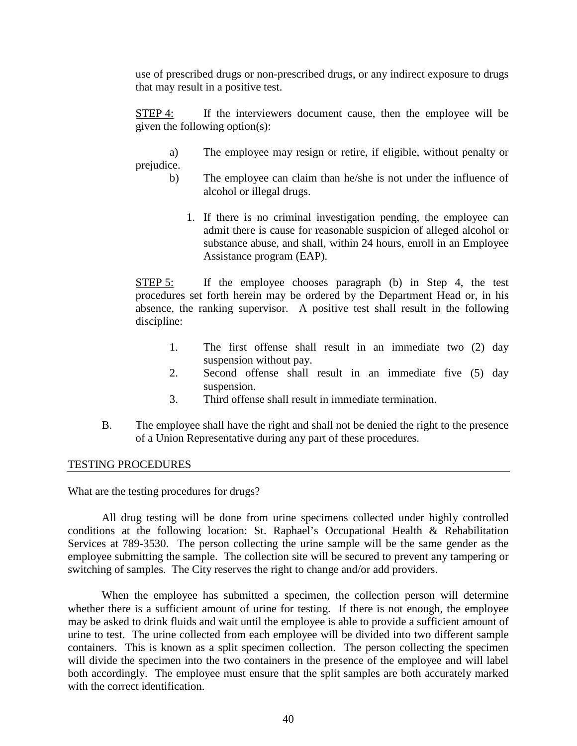use of prescribed drugs or non-prescribed drugs, or any indirect exposure to drugs that may result in a positive test.

STEP 4: If the interviewers document cause, then the employee will be given the following option(s):

a) The employee may resign or retire, if eligible, without penalty or prejudice.

- b) The employee can claim than he/she is not under the influence of alcohol or illegal drugs.
	- 1. If there is no criminal investigation pending, the employee can admit there is cause for reasonable suspicion of alleged alcohol or substance abuse, and shall, within 24 hours, enroll in an Employee Assistance program (EAP).

STEP 5: If the employee chooses paragraph (b) in Step 4, the test procedures set forth herein may be ordered by the Department Head or, in his absence, the ranking supervisor. A positive test shall result in the following discipline:

- 1. The first offense shall result in an immediate two (2) day suspension without pay.
- 2. Second offense shall result in an immediate five (5) day suspension.
- 3. Third offense shall result in immediate termination.
- B. The employee shall have the right and shall not be denied the right to the presence of a Union Representative during any part of these procedures.

# TESTING PROCEDURES

What are the testing procedures for drugs?

All drug testing will be done from urine specimens collected under highly controlled conditions at the following location: St. Raphael's Occupational Health & Rehabilitation Services at 789-3530. The person collecting the urine sample will be the same gender as the employee submitting the sample. The collection site will be secured to prevent any tampering or switching of samples. The City reserves the right to change and/or add providers.

When the employee has submitted a specimen, the collection person will determine whether there is a sufficient amount of urine for testing. If there is not enough, the employee may be asked to drink fluids and wait until the employee is able to provide a sufficient amount of urine to test. The urine collected from each employee will be divided into two different sample containers. This is known as a split specimen collection. The person collecting the specimen will divide the specimen into the two containers in the presence of the employee and will label both accordingly. The employee must ensure that the split samples are both accurately marked with the correct identification.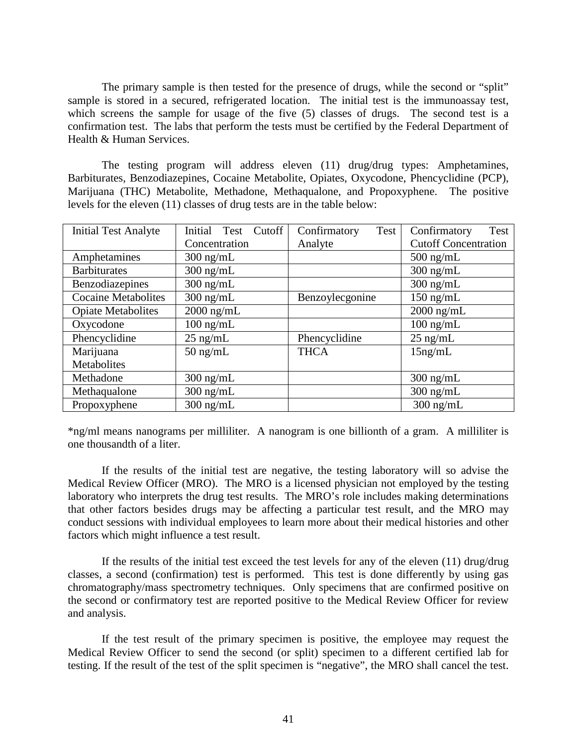The primary sample is then tested for the presence of drugs, while the second or "split" sample is stored in a secured, refrigerated location. The initial test is the immunoassay test, which screens the sample for usage of the five (5) classes of drugs. The second test is a confirmation test. The labs that perform the tests must be certified by the Federal Department of Health & Human Services.

The testing program will address eleven (11) drug/drug types: Amphetamines, Barbiturates, Benzodiazepines, Cocaine Metabolite, Opiates, Oxycodone, Phencyclidine (PCP), Marijuana (THC) Metabolite, Methadone, Methaqualone, and Propoxyphene. The positive levels for the eleven (11) classes of drug tests are in the table below:

| <b>Initial Test Analyte</b> | Initial Test<br>Cutoff | Confirmatory<br>Test | Confirmatory<br>Test        |  |
|-----------------------------|------------------------|----------------------|-----------------------------|--|
|                             | Concentration          | Analyte              | <b>Cutoff Concentration</b> |  |
| Amphetamines                | $300 \text{ ng/mL}$    |                      | $500$ ng/mL                 |  |
| <b>Barbiturates</b>         | $300$ ng/mL            |                      | $300$ ng/mL                 |  |
| Benzodiazepines             | $300$ ng/mL            |                      | $300$ ng/mL                 |  |
| <b>Cocaine Metabolites</b>  | $300$ ng/mL            | Benzoylecgonine      | $150$ ng/mL                 |  |
| <b>Opiate Metabolites</b>   | $2000$ ng/mL           |                      | $2000$ ng/mL                |  |
| Oxycodone                   | $100 \text{ ng/mL}$    |                      | $100$ ng/mL                 |  |
| Phencyclidine               | $25$ ng/mL             | Phencyclidine        | $25$ ng/mL                  |  |
| Marijuana                   | $50$ ng/mL             | <b>THCA</b>          | $15$ ng/mL                  |  |
| Metabolites                 |                        |                      |                             |  |
| Methadone                   | $300 \text{ ng/mL}$    |                      | $300 \text{ ng/mL}$         |  |
| Methaqualone                | $300$ ng/mL            |                      | $300$ ng/mL                 |  |
| Propoxyphene                | $300$ ng/mL            |                      | $300$ ng/mL                 |  |

\*ng/ml means nanograms per milliliter. A nanogram is one billionth of a gram. A milliliter is one thousandth of a liter.

If the results of the initial test are negative, the testing laboratory will so advise the Medical Review Officer (MRO). The MRO is a licensed physician not employed by the testing laboratory who interprets the drug test results. The MRO's role includes making determinations that other factors besides drugs may be affecting a particular test result, and the MRO may conduct sessions with individual employees to learn more about their medical histories and other factors which might influence a test result.

If the results of the initial test exceed the test levels for any of the eleven (11) drug/drug classes, a second (confirmation) test is performed. This test is done differently by using gas chromatography/mass spectrometry techniques. Only specimens that are confirmed positive on the second or confirmatory test are reported positive to the Medical Review Officer for review and analysis.

If the test result of the primary specimen is positive, the employee may request the Medical Review Officer to send the second (or split) specimen to a different certified lab for testing. If the result of the test of the split specimen is "negative", the MRO shall cancel the test.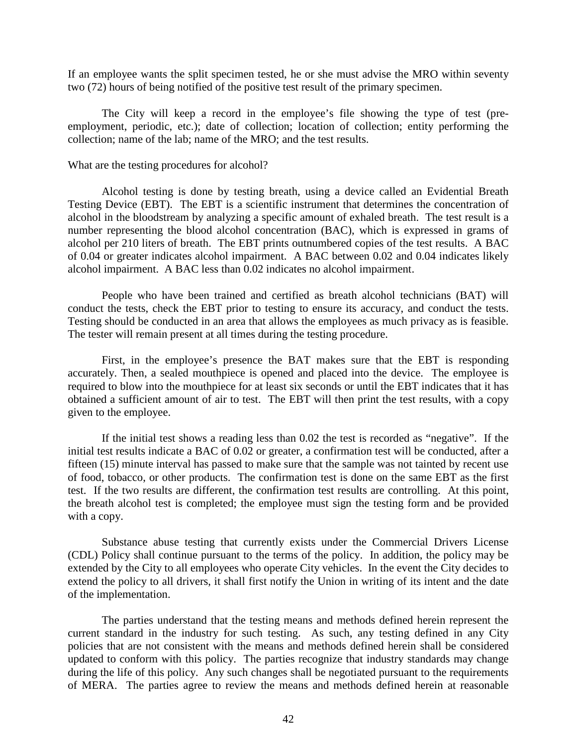If an employee wants the split specimen tested, he or she must advise the MRO within seventy two (72) hours of being notified of the positive test result of the primary specimen.

The City will keep a record in the employee's file showing the type of test (preemployment, periodic, etc.); date of collection; location of collection; entity performing the collection; name of the lab; name of the MRO; and the test results.

#### What are the testing procedures for alcohol?

Alcohol testing is done by testing breath, using a device called an Evidential Breath Testing Device (EBT). The EBT is a scientific instrument that determines the concentration of alcohol in the bloodstream by analyzing a specific amount of exhaled breath. The test result is a number representing the blood alcohol concentration (BAC), which is expressed in grams of alcohol per 210 liters of breath. The EBT prints outnumbered copies of the test results. A BAC of 0.04 or greater indicates alcohol impairment. A BAC between 0.02 and 0.04 indicates likely alcohol impairment. A BAC less than 0.02 indicates no alcohol impairment.

People who have been trained and certified as breath alcohol technicians (BAT) will conduct the tests, check the EBT prior to testing to ensure its accuracy, and conduct the tests. Testing should be conducted in an area that allows the employees as much privacy as is feasible. The tester will remain present at all times during the testing procedure.

First, in the employee's presence the BAT makes sure that the EBT is responding accurately. Then, a sealed mouthpiece is opened and placed into the device. The employee is required to blow into the mouthpiece for at least six seconds or until the EBT indicates that it has obtained a sufficient amount of air to test. The EBT will then print the test results, with a copy given to the employee.

If the initial test shows a reading less than 0.02 the test is recorded as "negative". If the initial test results indicate a BAC of 0.02 or greater, a confirmation test will be conducted, after a fifteen (15) minute interval has passed to make sure that the sample was not tainted by recent use of food, tobacco, or other products. The confirmation test is done on the same EBT as the first test. If the two results are different, the confirmation test results are controlling. At this point, the breath alcohol test is completed; the employee must sign the testing form and be provided with a copy.

Substance abuse testing that currently exists under the Commercial Drivers License (CDL) Policy shall continue pursuant to the terms of the policy. In addition, the policy may be extended by the City to all employees who operate City vehicles. In the event the City decides to extend the policy to all drivers, it shall first notify the Union in writing of its intent and the date of the implementation.

The parties understand that the testing means and methods defined herein represent the current standard in the industry for such testing. As such, any testing defined in any City policies that are not consistent with the means and methods defined herein shall be considered updated to conform with this policy. The parties recognize that industry standards may change during the life of this policy. Any such changes shall be negotiated pursuant to the requirements of MERA. The parties agree to review the means and methods defined herein at reasonable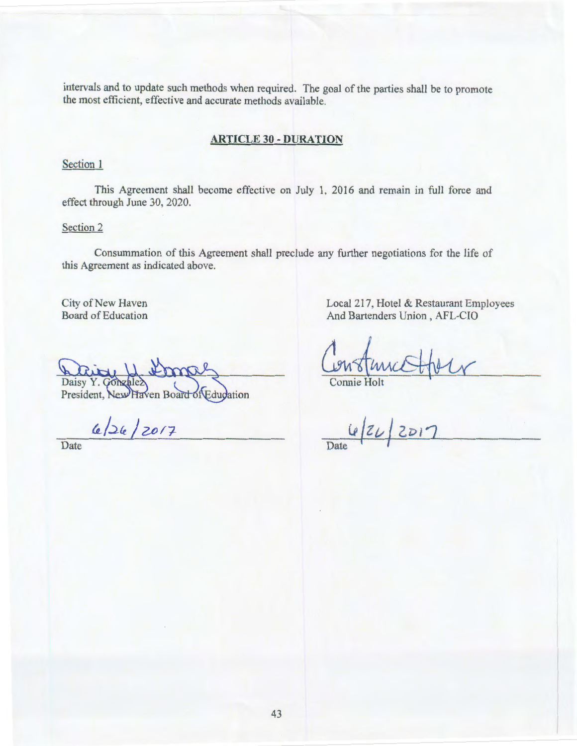intervals and to update such methods when required. The goal of the parties shall be to promote the most efficient, effective and accurate methods available.

# **ARTICLE** 30- **DURATION**

# Section 1

This Agreement shall become effective on July 1, 2016 and remain in full force and effect through June 30, 2020.

#### Section 2

Consummation of this Agreement shall preclude any further negotiations for the life of this Agreement as indicated above.

City of New Haven Board of Education

frno Daisy

President, New Haven Board of Education

 $6/26/2017$ 

**Date** 

Local 217, Hotel & Restaurant Employees And Bartenders Union , AFL-CIO

Connie Holt

 $2D17$  $624$ Date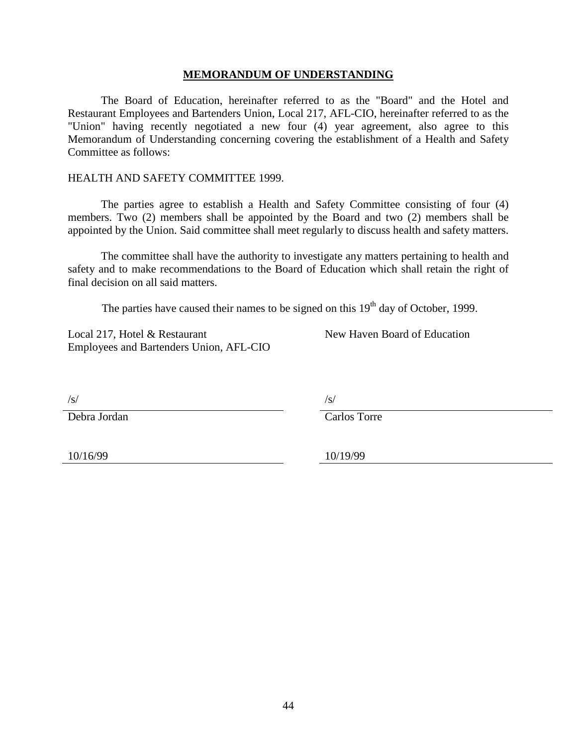# **MEMORANDUM OF UNDERSTANDING**

<span id="page-43-0"></span>The Board of Education, hereinafter referred to as the "Board" and the Hotel and Restaurant Employees and Bartenders Union, Local 217, AFL-CIO, hereinafter referred to as the "Union" having recently negotiated a new four (4) year agreement, also agree to this Memorandum of Understanding concerning covering the establishment of a Health and Safety Committee as follows:

# HEALTH AND SAFETY COMMITTEE 1999.

The parties agree to establish a Health and Safety Committee consisting of four (4) members. Two (2) members shall be appointed by the Board and two (2) members shall be appointed by the Union. Said committee shall meet regularly to discuss health and safety matters.

The committee shall have the authority to investigate any matters pertaining to health and safety and to make recommendations to the Board of Education which shall retain the right of final decision on all said matters.

The parties have caused their names to be signed on this  $19<sup>th</sup>$  day of October, 1999.

Local 217, Hotel & Restaurant Employees and Bartenders Union, AFL-CIO New Haven Board of Education

 $\sqrt{s}/\sqrt{s}$ 

Debra Jordan Carlos Torre

10/16/99 10/19/99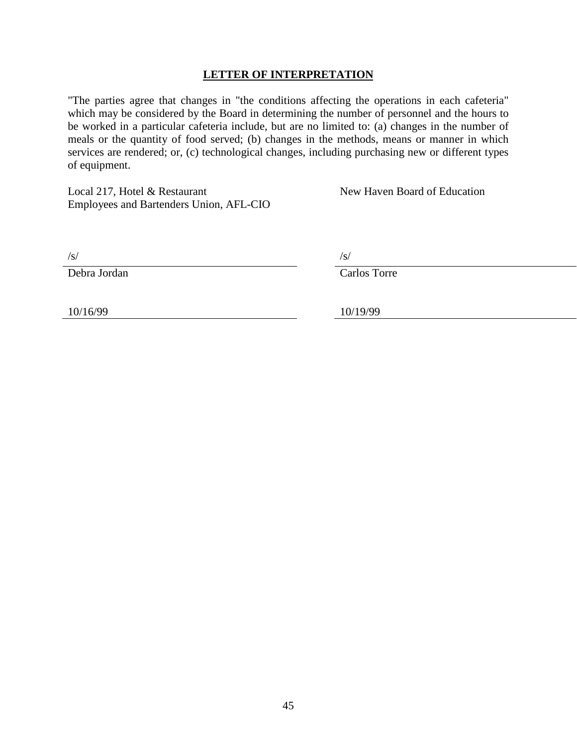# **LETTER OF INTERPRETATION**

<span id="page-44-0"></span>"The parties agree that changes in "the conditions affecting the operations in each cafeteria" which may be considered by the Board in determining the number of personnel and the hours to be worked in a particular cafeteria include, but are no limited to: (a) changes in the number of meals or the quantity of food served; (b) changes in the methods, means or manner in which services are rendered; or, (c) technological changes, including purchasing new or different types of equipment.

Local 217, Hotel & Restaurant Employees and Bartenders Union, AFL-CIO New Haven Board of Education

 $\sqrt{s}$ / $\sqrt{s}$ / $\sqrt{s}$ / $\sqrt{s}$ / $\sqrt{s}$ / $\sqrt{s}$ / $\sqrt{s}$ / $\sqrt{s}$ / $\sqrt{s}$ / $\sqrt{s}$ / $\sqrt{s}$ / $\sqrt{s}$ / $\sqrt{s}$ / $\sqrt{s}$ / $\sqrt{s}$ / $\sqrt{s}$ / $\sqrt{s}$ / $\sqrt{s}$ / $\sqrt{s}$ / $\sqrt{s}$ / $\sqrt{s}$ / $\sqrt{s}$ / $\sqrt{s}$ / $\sqrt{s}$ / $\sqrt{s}$ / $\sqrt{s}$ / $\sqrt{s}$ / $\sqrt{s}$ / $\sqrt{s}$ / $\sqrt{s}$ / $\sqrt{s}$ / $\sqrt{s$ 

Debra Jordan Carlos Torre

10/16/99 10/19/99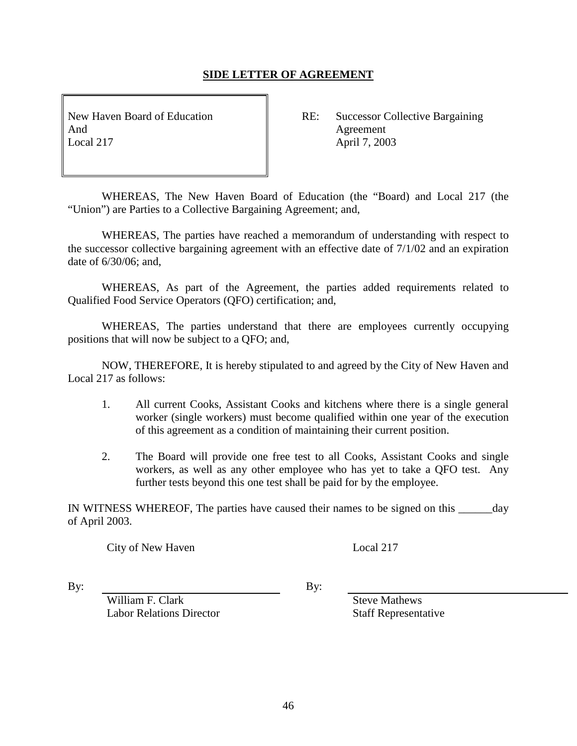# **SIDE LETTER OF AGREEMENT**

<span id="page-45-0"></span>And Agreement Local 217 **April 7, 2003** 

New Haven Board of Education RE: Successor Collective Bargaining

WHEREAS, The New Haven Board of Education (the "Board) and Local 217 (the "Union") are Parties to a Collective Bargaining Agreement; and,

WHEREAS, The parties have reached a memorandum of understanding with respect to the successor collective bargaining agreement with an effective date of 7/1/02 and an expiration date of 6/30/06; and,

WHEREAS, As part of the Agreement, the parties added requirements related to Qualified Food Service Operators (QFO) certification; and,

WHEREAS, The parties understand that there are employees currently occupying positions that will now be subject to a QFO; and,

NOW, THEREFORE, It is hereby stipulated to and agreed by the City of New Haven and Local 217 as follows:

- 1. All current Cooks, Assistant Cooks and kitchens where there is a single general worker (single workers) must become qualified within one year of the execution of this agreement as a condition of maintaining their current position.
- 2. The Board will provide one free test to all Cooks, Assistant Cooks and single workers, as well as any other employee who has yet to take a QFO test. Any further tests beyond this one test shall be paid for by the employee.

IN WITNESS WHEREOF, The parties have caused their names to be signed on this day of April 2003.

City of New Haven Local 217

By: By:

William F. Clark Steve Mathews Labor Relations Director Staff Representative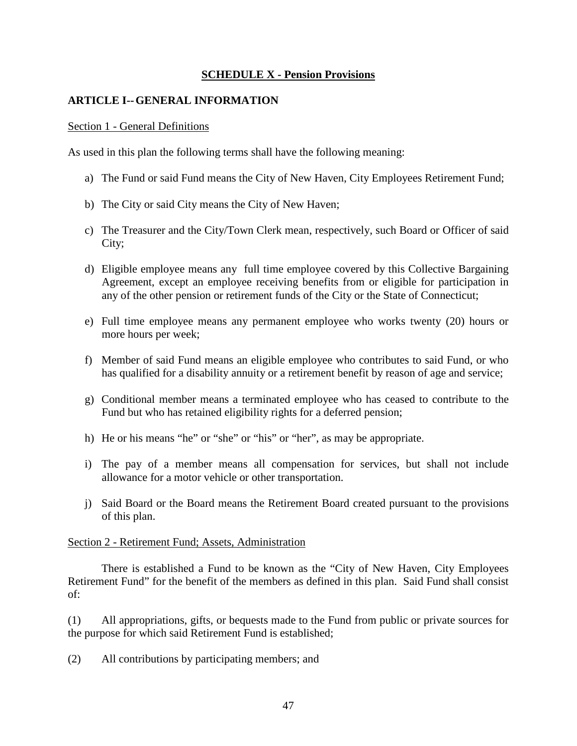# **SCHEDULE X - Pension Provisions**

# <span id="page-46-0"></span>**ARTICLE I--GENERAL INFORMATION**

# Section 1 - General Definitions

As used in this plan the following terms shall have the following meaning:

- a) The Fund or said Fund means the City of New Haven, City Employees Retirement Fund;
- b) The City or said City means the City of New Haven;
- c) The Treasurer and the City/Town Clerk mean, respectively, such Board or Officer of said City;
- d) Eligible employee means any full time employee covered by this Collective Bargaining Agreement, except an employee receiving benefits from or eligible for participation in any of the other pension or retirement funds of the City or the State of Connecticut;
- e) Full time employee means any permanent employee who works twenty (20) hours or more hours per week;
- f) Member of said Fund means an eligible employee who contributes to said Fund, or who has qualified for a disability annuity or a retirement benefit by reason of age and service;
- g) Conditional member means a terminated employee who has ceased to contribute to the Fund but who has retained eligibility rights for a deferred pension;
- h) He or his means "he" or "she" or "his" or "her", as may be appropriate.
- i) The pay of a member means all compensation for services, but shall not include allowance for a motor vehicle or other transportation.
- j) Said Board or the Board means the Retirement Board created pursuant to the provisions of this plan.

# Section 2 - Retirement Fund; Assets, Administration

There is established a Fund to be known as the "City of New Haven, City Employees Retirement Fund" for the benefit of the members as defined in this plan. Said Fund shall consist of:

(1) All appropriations, gifts, or bequests made to the Fund from public or private sources for the purpose for which said Retirement Fund is established;

(2) All contributions by participating members; and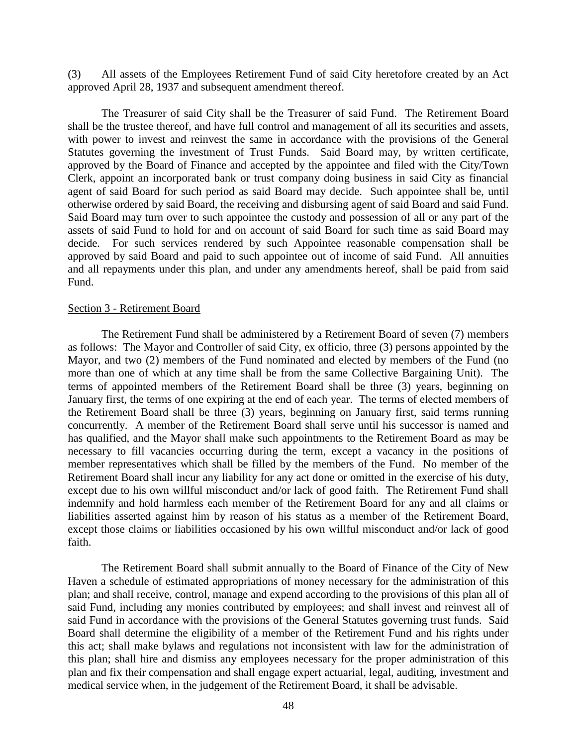(3) All assets of the Employees Retirement Fund of said City heretofore created by an Act approved April 28, 1937 and subsequent amendment thereof.

The Treasurer of said City shall be the Treasurer of said Fund. The Retirement Board shall be the trustee thereof, and have full control and management of all its securities and assets, with power to invest and reinvest the same in accordance with the provisions of the General Statutes governing the investment of Trust Funds. Said Board may, by written certificate, approved by the Board of Finance and accepted by the appointee and filed with the City/Town Clerk, appoint an incorporated bank or trust company doing business in said City as financial agent of said Board for such period as said Board may decide. Such appointee shall be, until otherwise ordered by said Board, the receiving and disbursing agent of said Board and said Fund. Said Board may turn over to such appointee the custody and possession of all or any part of the assets of said Fund to hold for and on account of said Board for such time as said Board may decide. For such services rendered by such Appointee reasonable compensation shall be approved by said Board and paid to such appointee out of income of said Fund. All annuities and all repayments under this plan, and under any amendments hereof, shall be paid from said Fund.

#### Section 3 - Retirement Board

The Retirement Fund shall be administered by a Retirement Board of seven (7) members as follows: The Mayor and Controller of said City, ex officio, three (3) persons appointed by the Mayor, and two (2) members of the Fund nominated and elected by members of the Fund (no more than one of which at any time shall be from the same Collective Bargaining Unit). The terms of appointed members of the Retirement Board shall be three (3) years, beginning on January first, the terms of one expiring at the end of each year. The terms of elected members of the Retirement Board shall be three (3) years, beginning on January first, said terms running concurrently. A member of the Retirement Board shall serve until his successor is named and has qualified, and the Mayor shall make such appointments to the Retirement Board as may be necessary to fill vacancies occurring during the term, except a vacancy in the positions of member representatives which shall be filled by the members of the Fund. No member of the Retirement Board shall incur any liability for any act done or omitted in the exercise of his duty, except due to his own willful misconduct and/or lack of good faith. The Retirement Fund shall indemnify and hold harmless each member of the Retirement Board for any and all claims or liabilities asserted against him by reason of his status as a member of the Retirement Board, except those claims or liabilities occasioned by his own willful misconduct and/or lack of good faith.

The Retirement Board shall submit annually to the Board of Finance of the City of New Haven a schedule of estimated appropriations of money necessary for the administration of this plan; and shall receive, control, manage and expend according to the provisions of this plan all of said Fund, including any monies contributed by employees; and shall invest and reinvest all of said Fund in accordance with the provisions of the General Statutes governing trust funds. Said Board shall determine the eligibility of a member of the Retirement Fund and his rights under this act; shall make bylaws and regulations not inconsistent with law for the administration of this plan; shall hire and dismiss any employees necessary for the proper administration of this plan and fix their compensation and shall engage expert actuarial, legal, auditing, investment and medical service when, in the judgement of the Retirement Board, it shall be advisable.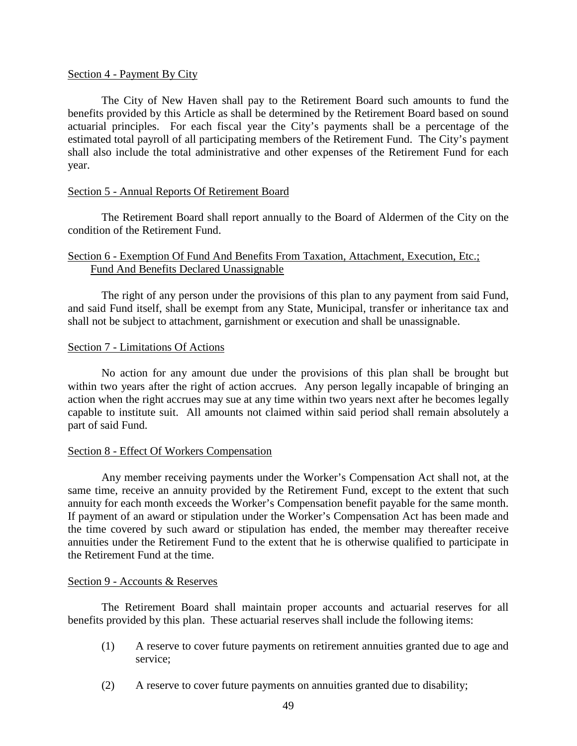# Section 4 - Payment By City

The City of New Haven shall pay to the Retirement Board such amounts to fund the benefits provided by this Article as shall be determined by the Retirement Board based on sound actuarial principles. For each fiscal year the City's payments shall be a percentage of the estimated total payroll of all participating members of the Retirement Fund. The City's payment shall also include the total administrative and other expenses of the Retirement Fund for each year.

# Section 5 - Annual Reports Of Retirement Board

The Retirement Board shall report annually to the Board of Aldermen of the City on the condition of the Retirement Fund.

# Section 6 - Exemption Of Fund And Benefits From Taxation, Attachment, Execution, Etc.; Fund And Benefits Declared Unassignable

The right of any person under the provisions of this plan to any payment from said Fund, and said Fund itself, shall be exempt from any State, Municipal, transfer or inheritance tax and shall not be subject to attachment, garnishment or execution and shall be unassignable.

# Section 7 - Limitations Of Actions

No action for any amount due under the provisions of this plan shall be brought but within two years after the right of action accrues. Any person legally incapable of bringing an action when the right accrues may sue at any time within two years next after he becomes legally capable to institute suit. All amounts not claimed within said period shall remain absolutely a part of said Fund.

# Section 8 - Effect Of Workers Compensation

Any member receiving payments under the Worker's Compensation Act shall not, at the same time, receive an annuity provided by the Retirement Fund, except to the extent that such annuity for each month exceeds the Worker's Compensation benefit payable for the same month. If payment of an award or stipulation under the Worker's Compensation Act has been made and the time covered by such award or stipulation has ended, the member may thereafter receive annuities under the Retirement Fund to the extent that he is otherwise qualified to participate in the Retirement Fund at the time.

# Section 9 - Accounts & Reserves

The Retirement Board shall maintain proper accounts and actuarial reserves for all benefits provided by this plan. These actuarial reserves shall include the following items:

- (1) A reserve to cover future payments on retirement annuities granted due to age and service;
- (2) A reserve to cover future payments on annuities granted due to disability;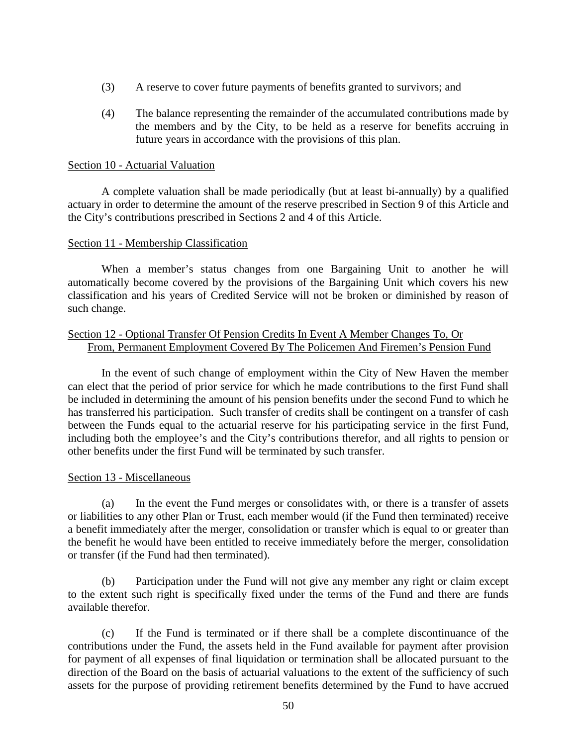- (3) A reserve to cover future payments of benefits granted to survivors; and
- (4) The balance representing the remainder of the accumulated contributions made by the members and by the City, to be held as a reserve for benefits accruing in future years in accordance with the provisions of this plan.

# Section 10 - Actuarial Valuation

A complete valuation shall be made periodically (but at least bi-annually) by a qualified actuary in order to determine the amount of the reserve prescribed in Section 9 of this Article and the City's contributions prescribed in Sections 2 and 4 of this Article.

# Section 11 - Membership Classification

When a member's status changes from one Bargaining Unit to another he will automatically become covered by the provisions of the Bargaining Unit which covers his new classification and his years of Credited Service will not be broken or diminished by reason of such change.

# Section 12 - Optional Transfer Of Pension Credits In Event A Member Changes To, Or From, Permanent Employment Covered By The Policemen And Firemen's Pension Fund

In the event of such change of employment within the City of New Haven the member can elect that the period of prior service for which he made contributions to the first Fund shall be included in determining the amount of his pension benefits under the second Fund to which he has transferred his participation. Such transfer of credits shall be contingent on a transfer of cash between the Funds equal to the actuarial reserve for his participating service in the first Fund, including both the employee's and the City's contributions therefor, and all rights to pension or other benefits under the first Fund will be terminated by such transfer.

# Section 13 - Miscellaneous

(a) In the event the Fund merges or consolidates with, or there is a transfer of assets or liabilities to any other Plan or Trust, each member would (if the Fund then terminated) receive a benefit immediately after the merger, consolidation or transfer which is equal to or greater than the benefit he would have been entitled to receive immediately before the merger, consolidation or transfer (if the Fund had then terminated).

(b) Participation under the Fund will not give any member any right or claim except to the extent such right is specifically fixed under the terms of the Fund and there are funds available therefor.

(c) If the Fund is terminated or if there shall be a complete discontinuance of the contributions under the Fund, the assets held in the Fund available for payment after provision for payment of all expenses of final liquidation or termination shall be allocated pursuant to the direction of the Board on the basis of actuarial valuations to the extent of the sufficiency of such assets for the purpose of providing retirement benefits determined by the Fund to have accrued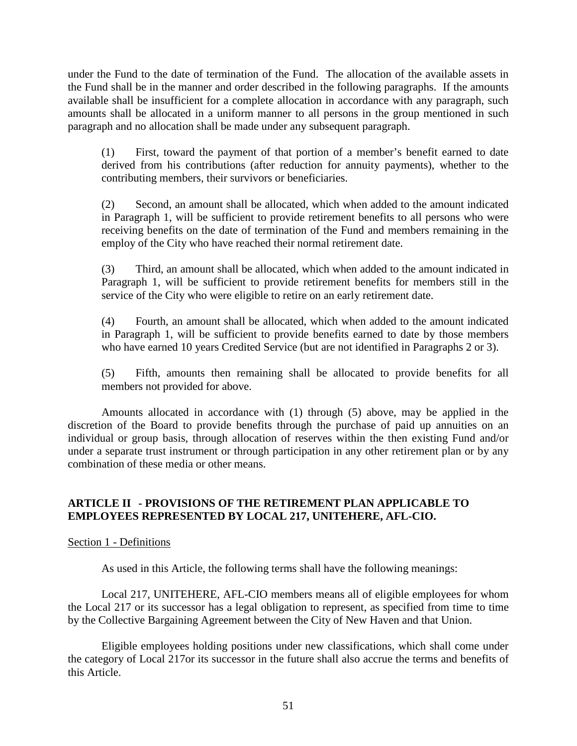under the Fund to the date of termination of the Fund. The allocation of the available assets in the Fund shall be in the manner and order described in the following paragraphs. If the amounts available shall be insufficient for a complete allocation in accordance with any paragraph, such amounts shall be allocated in a uniform manner to all persons in the group mentioned in such paragraph and no allocation shall be made under any subsequent paragraph.

(1) First, toward the payment of that portion of a member's benefit earned to date derived from his contributions (after reduction for annuity payments), whether to the contributing members, their survivors or beneficiaries.

(2) Second, an amount shall be allocated, which when added to the amount indicated in Paragraph 1, will be sufficient to provide retirement benefits to all persons who were receiving benefits on the date of termination of the Fund and members remaining in the employ of the City who have reached their normal retirement date.

(3) Third, an amount shall be allocated, which when added to the amount indicated in Paragraph 1, will be sufficient to provide retirement benefits for members still in the service of the City who were eligible to retire on an early retirement date.

(4) Fourth, an amount shall be allocated, which when added to the amount indicated in Paragraph 1, will be sufficient to provide benefits earned to date by those members who have earned 10 years Credited Service (but are not identified in Paragraphs 2 or 3).

(5) Fifth, amounts then remaining shall be allocated to provide benefits for all members not provided for above.

Amounts allocated in accordance with (1) through (5) above, may be applied in the discretion of the Board to provide benefits through the purchase of paid up annuities on an individual or group basis, through allocation of reserves within the then existing Fund and/or under a separate trust instrument or through participation in any other retirement plan or by any combination of these media or other means.

# **ARTICLE II - PROVISIONS OF THE RETIREMENT PLAN APPLICABLE TO EMPLOYEES REPRESENTED BY LOCAL 217, UNITEHERE, AFL-CIO.**

# Section 1 - Definitions

As used in this Article, the following terms shall have the following meanings:

Local 217, UNITEHERE, AFL-CIO members means all of eligible employees for whom the Local 217 or its successor has a legal obligation to represent, as specified from time to time by the Collective Bargaining Agreement between the City of New Haven and that Union.

Eligible employees holding positions under new classifications, which shall come under the category of Local 217or its successor in the future shall also accrue the terms and benefits of this Article.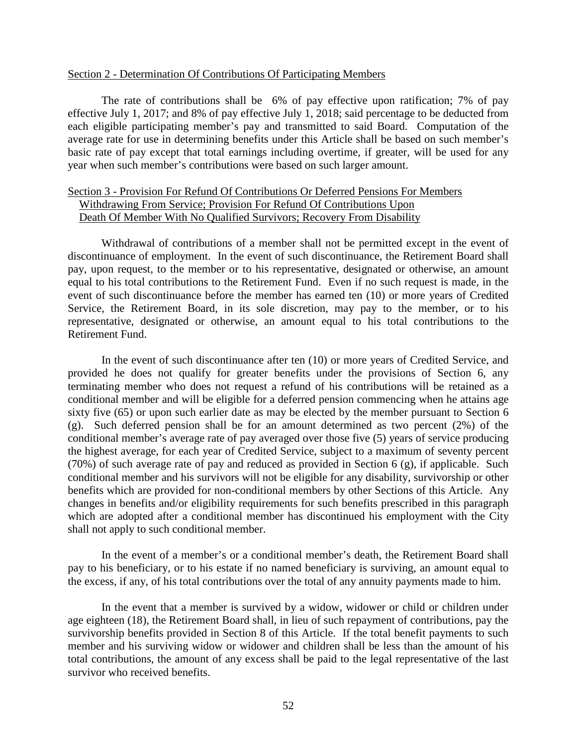### Section 2 - Determination Of Contributions Of Participating Members

The rate of contributions shall be 6% of pay effective upon ratification; 7% of pay effective July 1, 2017; and 8% of pay effective July 1, 2018; said percentage to be deducted from each eligible participating member's pay and transmitted to said Board. Computation of the average rate for use in determining benefits under this Article shall be based on such member's basic rate of pay except that total earnings including overtime, if greater, will be used for any year when such member's contributions were based on such larger amount.

# Section 3 - Provision For Refund Of Contributions Or Deferred Pensions For Members Withdrawing From Service; Provision For Refund Of Contributions Upon Death Of Member With No Qualified Survivors; Recovery From Disability

Withdrawal of contributions of a member shall not be permitted except in the event of discontinuance of employment. In the event of such discontinuance, the Retirement Board shall pay, upon request, to the member or to his representative, designated or otherwise, an amount equal to his total contributions to the Retirement Fund. Even if no such request is made, in the event of such discontinuance before the member has earned ten (10) or more years of Credited Service, the Retirement Board, in its sole discretion, may pay to the member, or to his representative, designated or otherwise, an amount equal to his total contributions to the Retirement Fund.

In the event of such discontinuance after ten (10) or more years of Credited Service, and provided he does not qualify for greater benefits under the provisions of Section 6, any terminating member who does not request a refund of his contributions will be retained as a conditional member and will be eligible for a deferred pension commencing when he attains age sixty five (65) or upon such earlier date as may be elected by the member pursuant to Section 6 (g). Such deferred pension shall be for an amount determined as two percent (2%) of the conditional member's average rate of pay averaged over those five (5) years of service producing the highest average, for each year of Credited Service, subject to a maximum of seventy percent (70%) of such average rate of pay and reduced as provided in Section 6 (g), if applicable. Such conditional member and his survivors will not be eligible for any disability, survivorship or other benefits which are provided for non-conditional members by other Sections of this Article. Any changes in benefits and/or eligibility requirements for such benefits prescribed in this paragraph which are adopted after a conditional member has discontinued his employment with the City shall not apply to such conditional member.

In the event of a member's or a conditional member's death, the Retirement Board shall pay to his beneficiary, or to his estate if no named beneficiary is surviving, an amount equal to the excess, if any, of his total contributions over the total of any annuity payments made to him.

In the event that a member is survived by a widow, widower or child or children under age eighteen (18), the Retirement Board shall, in lieu of such repayment of contributions, pay the survivorship benefits provided in Section 8 of this Article. If the total benefit payments to such member and his surviving widow or widower and children shall be less than the amount of his total contributions, the amount of any excess shall be paid to the legal representative of the last survivor who received benefits.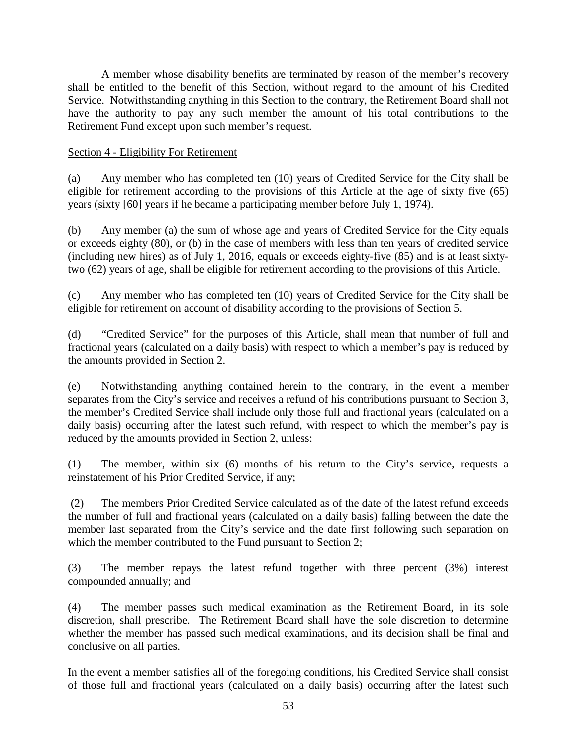A member whose disability benefits are terminated by reason of the member's recovery shall be entitled to the benefit of this Section, without regard to the amount of his Credited Service. Notwithstanding anything in this Section to the contrary, the Retirement Board shall not have the authority to pay any such member the amount of his total contributions to the Retirement Fund except upon such member's request.

# Section 4 - Eligibility For Retirement

(a) Any member who has completed ten (10) years of Credited Service for the City shall be eligible for retirement according to the provisions of this Article at the age of sixty five (65) years (sixty [60] years if he became a participating member before July 1, 1974).

(b) Any member (a) the sum of whose age and years of Credited Service for the City equals or exceeds eighty (80), or (b) in the case of members with less than ten years of credited service (including new hires) as of July 1, 2016, equals or exceeds eighty-five (85) and is at least sixtytwo (62) years of age, shall be eligible for retirement according to the provisions of this Article.

(c) Any member who has completed ten (10) years of Credited Service for the City shall be eligible for retirement on account of disability according to the provisions of Section 5.

(d) "Credited Service" for the purposes of this Article, shall mean that number of full and fractional years (calculated on a daily basis) with respect to which a member's pay is reduced by the amounts provided in Section 2.

(e) Notwithstanding anything contained herein to the contrary, in the event a member separates from the City's service and receives a refund of his contributions pursuant to Section 3, the member's Credited Service shall include only those full and fractional years (calculated on a daily basis) occurring after the latest such refund, with respect to which the member's pay is reduced by the amounts provided in Section 2, unless:

(1) The member, within six (6) months of his return to the City's service, requests a reinstatement of his Prior Credited Service, if any;

(2) The members Prior Credited Service calculated as of the date of the latest refund exceeds the number of full and fractional years (calculated on a daily basis) falling between the date the member last separated from the City's service and the date first following such separation on which the member contributed to the Fund pursuant to Section 2;

(3) The member repays the latest refund together with three percent (3%) interest compounded annually; and

(4) The member passes such medical examination as the Retirement Board, in its sole discretion, shall prescribe. The Retirement Board shall have the sole discretion to determine whether the member has passed such medical examinations, and its decision shall be final and conclusive on all parties.

In the event a member satisfies all of the foregoing conditions, his Credited Service shall consist of those full and fractional years (calculated on a daily basis) occurring after the latest such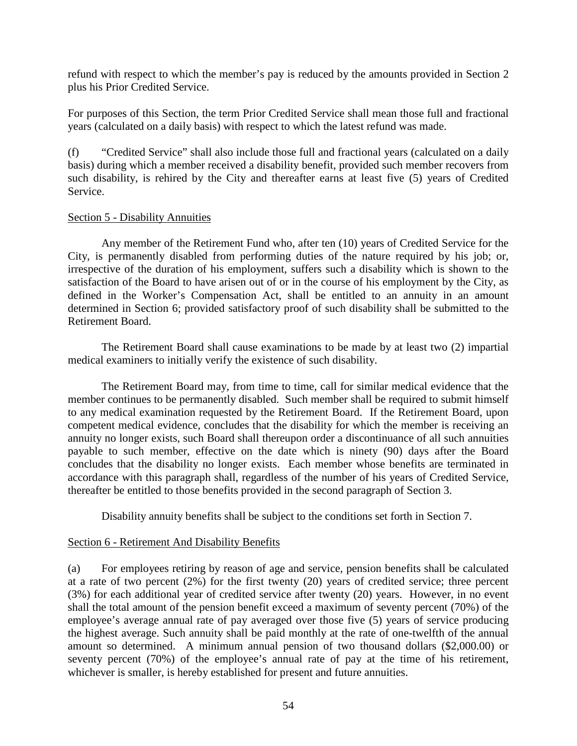refund with respect to which the member's pay is reduced by the amounts provided in Section 2 plus his Prior Credited Service.

For purposes of this Section, the term Prior Credited Service shall mean those full and fractional years (calculated on a daily basis) with respect to which the latest refund was made.

(f) "Credited Service" shall also include those full and fractional years (calculated on a daily basis) during which a member received a disability benefit, provided such member recovers from such disability, is rehired by the City and thereafter earns at least five (5) years of Credited Service.

# Section 5 - Disability Annuities

Any member of the Retirement Fund who, after ten (10) years of Credited Service for the City, is permanently disabled from performing duties of the nature required by his job; or, irrespective of the duration of his employment, suffers such a disability which is shown to the satisfaction of the Board to have arisen out of or in the course of his employment by the City, as defined in the Worker's Compensation Act, shall be entitled to an annuity in an amount determined in Section 6; provided satisfactory proof of such disability shall be submitted to the Retirement Board.

The Retirement Board shall cause examinations to be made by at least two (2) impartial medical examiners to initially verify the existence of such disability.

The Retirement Board may, from time to time, call for similar medical evidence that the member continues to be permanently disabled. Such member shall be required to submit himself to any medical examination requested by the Retirement Board. If the Retirement Board, upon competent medical evidence, concludes that the disability for which the member is receiving an annuity no longer exists, such Board shall thereupon order a discontinuance of all such annuities payable to such member, effective on the date which is ninety (90) days after the Board concludes that the disability no longer exists. Each member whose benefits are terminated in accordance with this paragraph shall, regardless of the number of his years of Credited Service, thereafter be entitled to those benefits provided in the second paragraph of Section 3.

Disability annuity benefits shall be subject to the conditions set forth in Section 7.

# Section 6 - Retirement And Disability Benefits

(a) For employees retiring by reason of age and service, pension benefits shall be calculated at a rate of two percent (2%) for the first twenty (20) years of credited service; three percent (3%) for each additional year of credited service after twenty (20) years. However, in no event shall the total amount of the pension benefit exceed a maximum of seventy percent (70%) of the employee's average annual rate of pay averaged over those five (5) years of service producing the highest average. Such annuity shall be paid monthly at the rate of one-twelfth of the annual amount so determined. A minimum annual pension of two thousand dollars (\$2,000.00) or seventy percent (70%) of the employee's annual rate of pay at the time of his retirement, whichever is smaller, is hereby established for present and future annuities.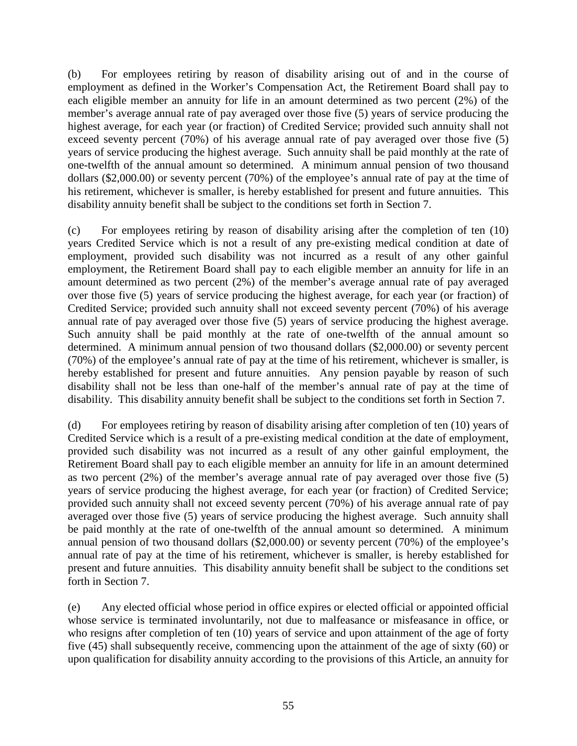(b) For employees retiring by reason of disability arising out of and in the course of employment as defined in the Worker's Compensation Act, the Retirement Board shall pay to each eligible member an annuity for life in an amount determined as two percent (2%) of the member's average annual rate of pay averaged over those five (5) years of service producing the highest average, for each year (or fraction) of Credited Service; provided such annuity shall not exceed seventy percent (70%) of his average annual rate of pay averaged over those five (5) years of service producing the highest average. Such annuity shall be paid monthly at the rate of one-twelfth of the annual amount so determined. A minimum annual pension of two thousand dollars (\$2,000.00) or seventy percent (70%) of the employee's annual rate of pay at the time of his retirement, whichever is smaller, is hereby established for present and future annuities. This disability annuity benefit shall be subject to the conditions set forth in Section 7.

(c) For employees retiring by reason of disability arising after the completion of ten (10) years Credited Service which is not a result of any pre-existing medical condition at date of employment, provided such disability was not incurred as a result of any other gainful employment, the Retirement Board shall pay to each eligible member an annuity for life in an amount determined as two percent (2%) of the member's average annual rate of pay averaged over those five (5) years of service producing the highest average, for each year (or fraction) of Credited Service; provided such annuity shall not exceed seventy percent (70%) of his average annual rate of pay averaged over those five (5) years of service producing the highest average. Such annuity shall be paid monthly at the rate of one-twelfth of the annual amount so determined. A minimum annual pension of two thousand dollars (\$2,000.00) or seventy percent (70%) of the employee's annual rate of pay at the time of his retirement, whichever is smaller, is hereby established for present and future annuities. Any pension payable by reason of such disability shall not be less than one-half of the member's annual rate of pay at the time of disability. This disability annuity benefit shall be subject to the conditions set forth in Section 7.

(d) For employees retiring by reason of disability arising after completion of ten (10) years of Credited Service which is a result of a pre-existing medical condition at the date of employment, provided such disability was not incurred as a result of any other gainful employment, the Retirement Board shall pay to each eligible member an annuity for life in an amount determined as two percent (2%) of the member's average annual rate of pay averaged over those five (5) years of service producing the highest average, for each year (or fraction) of Credited Service; provided such annuity shall not exceed seventy percent (70%) of his average annual rate of pay averaged over those five (5) years of service producing the highest average. Such annuity shall be paid monthly at the rate of one-twelfth of the annual amount so determined. A minimum annual pension of two thousand dollars (\$2,000.00) or seventy percent (70%) of the employee's annual rate of pay at the time of his retirement, whichever is smaller, is hereby established for present and future annuities. This disability annuity benefit shall be subject to the conditions set forth in Section 7.

(e) Any elected official whose period in office expires or elected official or appointed official whose service is terminated involuntarily, not due to malfeasance or misfeasance in office, or who resigns after completion of ten (10) years of service and upon attainment of the age of forty five (45) shall subsequently receive, commencing upon the attainment of the age of sixty (60) or upon qualification for disability annuity according to the provisions of this Article, an annuity for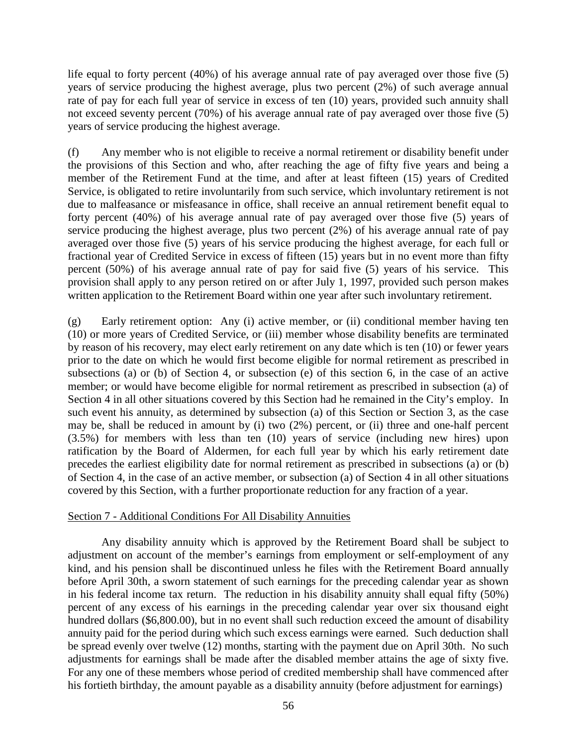life equal to forty percent (40%) of his average annual rate of pay averaged over those five (5) years of service producing the highest average, plus two percent (2%) of such average annual rate of pay for each full year of service in excess of ten (10) years, provided such annuity shall not exceed seventy percent (70%) of his average annual rate of pay averaged over those five (5) years of service producing the highest average.

(f) Any member who is not eligible to receive a normal retirement or disability benefit under the provisions of this Section and who, after reaching the age of fifty five years and being a member of the Retirement Fund at the time, and after at least fifteen (15) years of Credited Service, is obligated to retire involuntarily from such service, which involuntary retirement is not due to malfeasance or misfeasance in office, shall receive an annual retirement benefit equal to forty percent (40%) of his average annual rate of pay averaged over those five (5) years of service producing the highest average, plus two percent (2%) of his average annual rate of pay averaged over those five (5) years of his service producing the highest average, for each full or fractional year of Credited Service in excess of fifteen (15) years but in no event more than fifty percent (50%) of his average annual rate of pay for said five (5) years of his service. This provision shall apply to any person retired on or after July 1, 1997, provided such person makes written application to the Retirement Board within one year after such involuntary retirement.

(g) Early retirement option: Any (i) active member, or (ii) conditional member having ten (10) or more years of Credited Service, or (iii) member whose disability benefits are terminated by reason of his recovery, may elect early retirement on any date which is ten (10) or fewer years prior to the date on which he would first become eligible for normal retirement as prescribed in subsections (a) or (b) of Section 4, or subsection (e) of this section 6, in the case of an active member; or would have become eligible for normal retirement as prescribed in subsection (a) of Section 4 in all other situations covered by this Section had he remained in the City's employ. In such event his annuity, as determined by subsection (a) of this Section or Section 3, as the case may be, shall be reduced in amount by (i) two (2%) percent, or (ii) three and one-half percent (3.5%) for members with less than ten (10) years of service (including new hires) upon ratification by the Board of Aldermen, for each full year by which his early retirement date precedes the earliest eligibility date for normal retirement as prescribed in subsections (a) or (b) of Section 4, in the case of an active member, or subsection (a) of Section 4 in all other situations covered by this Section, with a further proportionate reduction for any fraction of a year.

# Section 7 - Additional Conditions For All Disability Annuities

Any disability annuity which is approved by the Retirement Board shall be subject to adjustment on account of the member's earnings from employment or self-employment of any kind, and his pension shall be discontinued unless he files with the Retirement Board annually before April 30th, a sworn statement of such earnings for the preceding calendar year as shown in his federal income tax return. The reduction in his disability annuity shall equal fifty (50%) percent of any excess of his earnings in the preceding calendar year over six thousand eight hundred dollars (\$6,800.00), but in no event shall such reduction exceed the amount of disability annuity paid for the period during which such excess earnings were earned. Such deduction shall be spread evenly over twelve (12) months, starting with the payment due on April 30th. No such adjustments for earnings shall be made after the disabled member attains the age of sixty five. For any one of these members whose period of credited membership shall have commenced after his fortieth birthday, the amount payable as a disability annuity (before adjustment for earnings)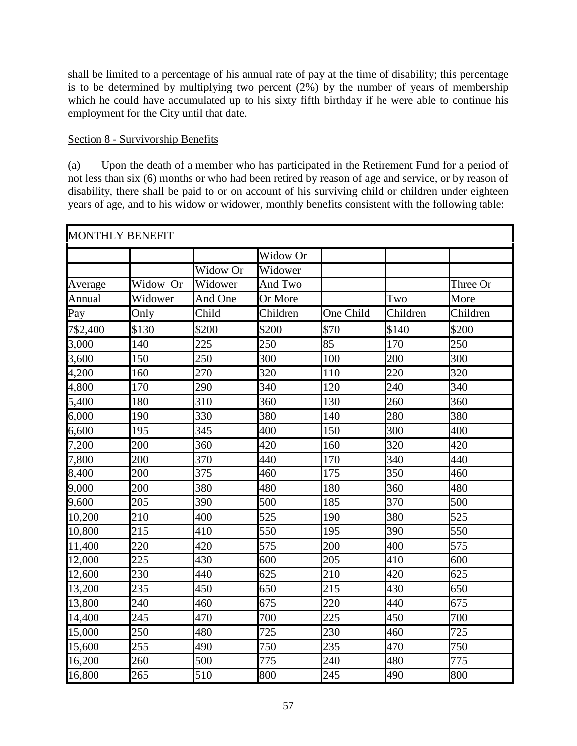shall be limited to a percentage of his annual rate of pay at the time of disability; this percentage is to be determined by multiplying two percent  $(2\%)$  by the number of years of membership which he could have accumulated up to his sixty fifth birthday if he were able to continue his employment for the City until that date.

# Section 8 - Survivorship Benefits

(a) Upon the death of a member who has participated in the Retirement Fund for a period of not less than six (6) months or who had been retired by reason of age and service, or by reason of disability, there shall be paid to or on account of his surviving child or children under eighteen years of age, and to his widow or widower, monthly benefits consistent with the following table:

| <b>MONTHLY BENEFIT</b> |          |          |          |                  |          |                  |
|------------------------|----------|----------|----------|------------------|----------|------------------|
|                        |          |          | Widow Or |                  |          |                  |
|                        |          | Widow Or | Widower  |                  |          |                  |
| Average                | Widow Or | Widower  | And Two  |                  |          | Three Or         |
| Annual                 | Widower  | And One  | Or More  |                  | Two      | More             |
| Pay                    | Only     | Child    | Children | One Child        | Children | Children         |
| 7\$2,400               | \$130    | \$200    | \$200    | \$70             | \$140    | \$200            |
| 3,000                  | 140      | 225      | 250      | 85               | 170      | 250              |
| 3,600                  | 150      | 250      | 300      | 100              | 200      | $\overline{300}$ |
| 4,200                  | 160      | 270      | 320      | 110              | 220      | 320              |
| 4,800                  | 170      | 290      | 340      | 120              | 240      | 340              |
| 5,400                  | 180      | 310      | 360      | 130              | 260      | 360              |
| 6,000                  | 190      | 330      | 380      | 140              | 280      | 380              |
| 6,600                  | 195      | 345      | 400      | 150              | 300      | 400              |
| 7,200                  | 200      | 360      | 420      | 160              | 320      | 420              |
| 7,800                  | 200      | 370      | 440      | 170              | 340      | 440              |
| 8,400                  | 200      | 375      | 460      | 175              | 350      | 460              |
| 9,000                  | 200      | 380      | 480      | 180              | 360      | 480              |
| 9,600                  | 205      | 390      | 500      | 185              | 370      | 500              |
| 10,200                 | 210      | 400      | 525      | 190              | 380      | 525              |
| 10,800                 | 215      | 410      | 550      | 195              | 390      | 550              |
| 11,400                 | 220      | 420      | 575      | 200              | 400      | 575              |
| 12,000                 | 225      | 430      | 600      | $\overline{205}$ | 410      | 600              |
| 12,600                 | 230      | 440      | 625      | 210              | 420      | 625              |
| 13,200                 | 235      | 450      | 650      | 215              | 430      | 650              |
| 13,800                 | 240      | 460      | 675      | 220              | 440      | 675              |
| 14,400                 | 245      | 470      | 700      | 225              | 450      | 700              |
| 15,000                 | 250      | 480      | 725      | 230              | 460      | 725              |
| 15,600                 | 255      | 490      | 750      | 235              | 470      | 750              |
| 16,200                 | 260      | 500      | 775      | 240              | 480      | 775              |
| 16,800                 | 265      | 510      | 800      | 245              | 490      | 800              |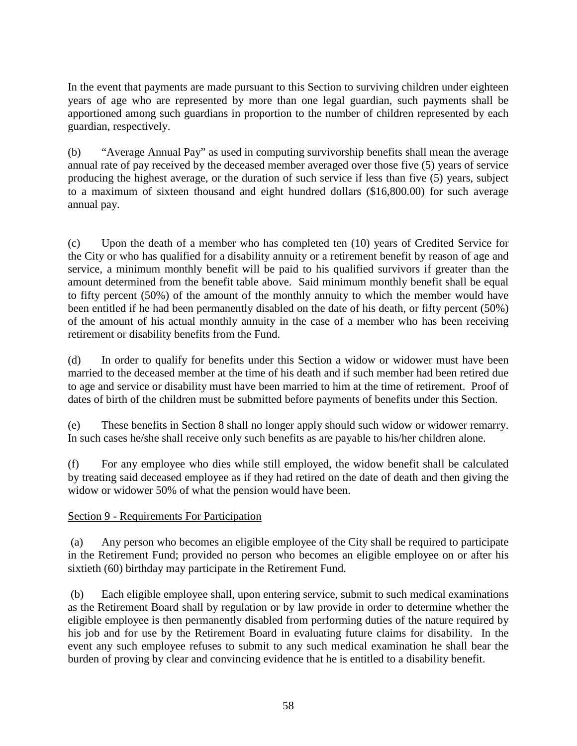In the event that payments are made pursuant to this Section to surviving children under eighteen years of age who are represented by more than one legal guardian, such payments shall be apportioned among such guardians in proportion to the number of children represented by each guardian, respectively.

(b) "Average Annual Pay" as used in computing survivorship benefits shall mean the average annual rate of pay received by the deceased member averaged over those five (5) years of service producing the highest average, or the duration of such service if less than five (5) years, subject to a maximum of sixteen thousand and eight hundred dollars (\$16,800.00) for such average annual pay.

(c) Upon the death of a member who has completed ten (10) years of Credited Service for the City or who has qualified for a disability annuity or a retirement benefit by reason of age and service, a minimum monthly benefit will be paid to his qualified survivors if greater than the amount determined from the benefit table above. Said minimum monthly benefit shall be equal to fifty percent (50%) of the amount of the monthly annuity to which the member would have been entitled if he had been permanently disabled on the date of his death, or fifty percent (50%) of the amount of his actual monthly annuity in the case of a member who has been receiving retirement or disability benefits from the Fund.

(d) In order to qualify for benefits under this Section a widow or widower must have been married to the deceased member at the time of his death and if such member had been retired due to age and service or disability must have been married to him at the time of retirement. Proof of dates of birth of the children must be submitted before payments of benefits under this Section.

(e) These benefits in Section 8 shall no longer apply should such widow or widower remarry. In such cases he/she shall receive only such benefits as are payable to his/her children alone.

(f) For any employee who dies while still employed, the widow benefit shall be calculated by treating said deceased employee as if they had retired on the date of death and then giving the widow or widower 50% of what the pension would have been.

# Section 9 - Requirements For Participation

(a) Any person who becomes an eligible employee of the City shall be required to participate in the Retirement Fund; provided no person who becomes an eligible employee on or after his sixtieth (60) birthday may participate in the Retirement Fund.

(b) Each eligible employee shall, upon entering service, submit to such medical examinations as the Retirement Board shall by regulation or by law provide in order to determine whether the eligible employee is then permanently disabled from performing duties of the nature required by his job and for use by the Retirement Board in evaluating future claims for disability. In the event any such employee refuses to submit to any such medical examination he shall bear the burden of proving by clear and convincing evidence that he is entitled to a disability benefit.